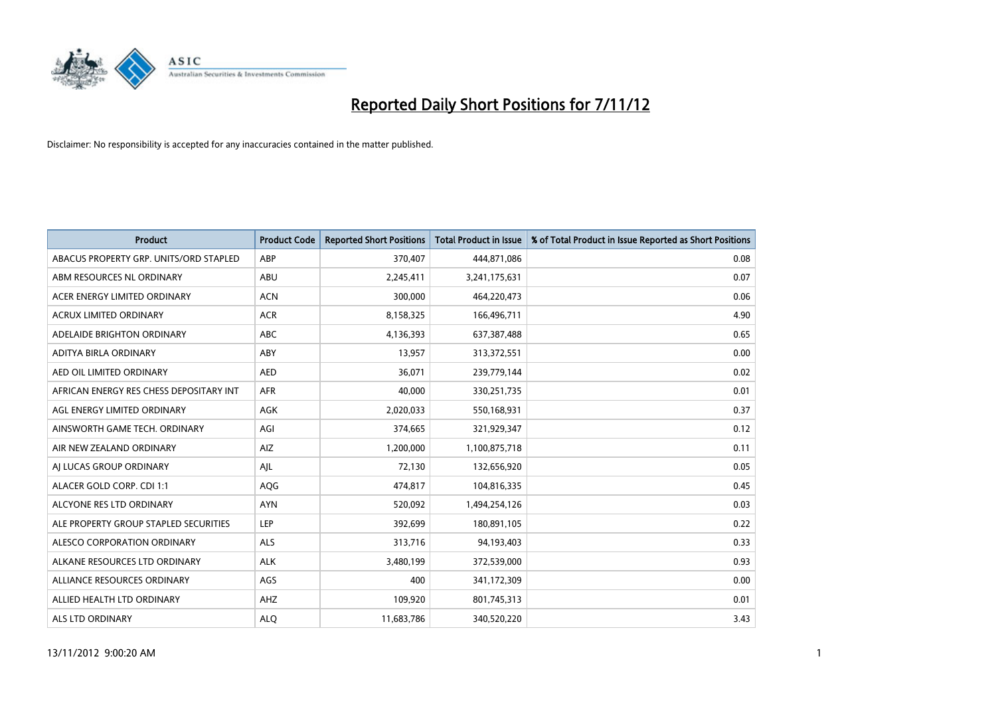

| <b>Product</b>                          | <b>Product Code</b> | <b>Reported Short Positions</b> | <b>Total Product in Issue</b> | % of Total Product in Issue Reported as Short Positions |
|-----------------------------------------|---------------------|---------------------------------|-------------------------------|---------------------------------------------------------|
| ABACUS PROPERTY GRP. UNITS/ORD STAPLED  | ABP                 | 370,407                         | 444,871,086                   | 0.08                                                    |
| ABM RESOURCES NL ORDINARY               | ABU                 | 2,245,411                       | 3,241,175,631                 | 0.07                                                    |
| ACER ENERGY LIMITED ORDINARY            | <b>ACN</b>          | 300,000                         | 464,220,473                   | 0.06                                                    |
| ACRUX LIMITED ORDINARY                  | <b>ACR</b>          | 8,158,325                       | 166,496,711                   | 4.90                                                    |
| ADELAIDE BRIGHTON ORDINARY              | <b>ABC</b>          | 4,136,393                       | 637,387,488                   | 0.65                                                    |
| ADITYA BIRLA ORDINARY                   | ABY                 | 13,957                          | 313,372,551                   | 0.00                                                    |
| AED OIL LIMITED ORDINARY                | <b>AED</b>          | 36.071                          | 239,779,144                   | 0.02                                                    |
| AFRICAN ENERGY RES CHESS DEPOSITARY INT | <b>AFR</b>          | 40,000                          | 330,251,735                   | 0.01                                                    |
| AGL ENERGY LIMITED ORDINARY             | AGK                 | 2,020,033                       | 550,168,931                   | 0.37                                                    |
| AINSWORTH GAME TECH. ORDINARY           | AGI                 | 374,665                         | 321,929,347                   | 0.12                                                    |
| AIR NEW ZEALAND ORDINARY                | AIZ                 | 1,200,000                       | 1,100,875,718                 | 0.11                                                    |
| AI LUCAS GROUP ORDINARY                 | AJL                 | 72,130                          | 132,656,920                   | 0.05                                                    |
| ALACER GOLD CORP. CDI 1:1               | AQG                 | 474,817                         | 104,816,335                   | 0.45                                                    |
| ALCYONE RES LTD ORDINARY                | <b>AYN</b>          | 520,092                         | 1,494,254,126                 | 0.03                                                    |
| ALE PROPERTY GROUP STAPLED SECURITIES   | LEP                 | 392,699                         | 180,891,105                   | 0.22                                                    |
| ALESCO CORPORATION ORDINARY             | <b>ALS</b>          | 313,716                         | 94,193,403                    | 0.33                                                    |
| ALKANE RESOURCES LTD ORDINARY           | <b>ALK</b>          | 3,480,199                       | 372,539,000                   | 0.93                                                    |
| ALLIANCE RESOURCES ORDINARY             | AGS                 | 400                             | 341,172,309                   | 0.00                                                    |
| ALLIED HEALTH LTD ORDINARY              | AHZ                 | 109,920                         | 801,745,313                   | 0.01                                                    |
| <b>ALS LTD ORDINARY</b>                 | <b>ALO</b>          | 11,683,786                      | 340,520,220                   | 3.43                                                    |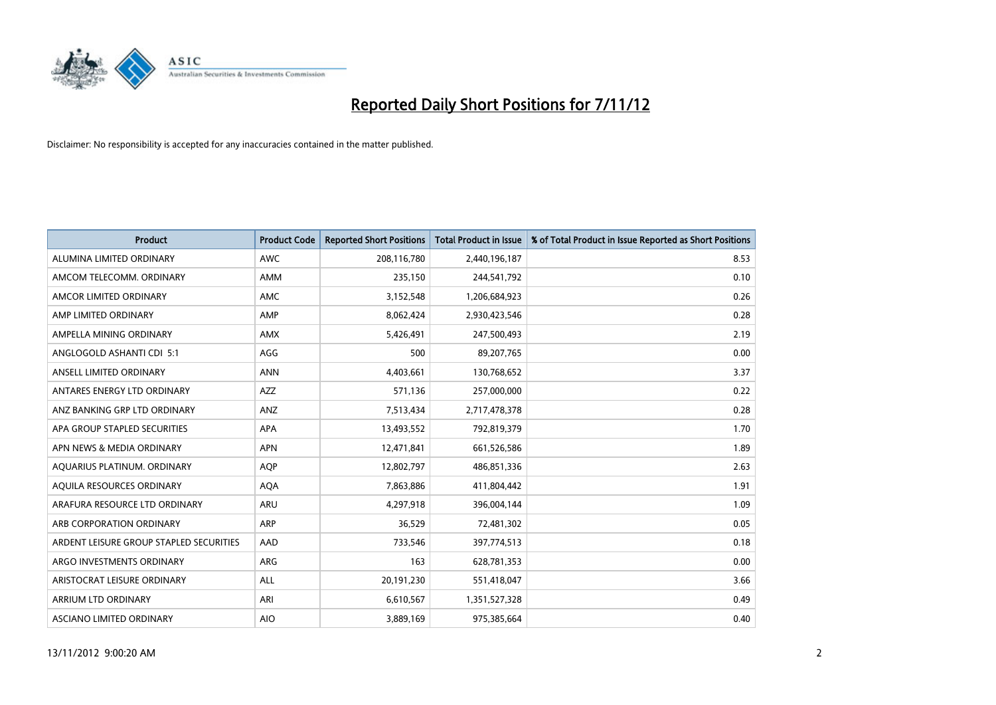

| <b>Product</b>                          | <b>Product Code</b> | <b>Reported Short Positions</b> | <b>Total Product in Issue</b> | % of Total Product in Issue Reported as Short Positions |
|-----------------------------------------|---------------------|---------------------------------|-------------------------------|---------------------------------------------------------|
| ALUMINA LIMITED ORDINARY                | <b>AWC</b>          | 208,116,780                     | 2,440,196,187                 | 8.53                                                    |
| AMCOM TELECOMM. ORDINARY                | <b>AMM</b>          | 235,150                         | 244,541,792                   | 0.10                                                    |
| AMCOR LIMITED ORDINARY                  | <b>AMC</b>          | 3,152,548                       | 1,206,684,923                 | 0.26                                                    |
| AMP LIMITED ORDINARY                    | AMP                 | 8,062,424                       | 2,930,423,546                 | 0.28                                                    |
| AMPELLA MINING ORDINARY                 | <b>AMX</b>          | 5,426,491                       | 247,500,493                   | 2.19                                                    |
| ANGLOGOLD ASHANTI CDI 5:1               | AGG                 | 500                             | 89,207,765                    | 0.00                                                    |
| ANSELL LIMITED ORDINARY                 | <b>ANN</b>          | 4,403,661                       | 130,768,652                   | 3.37                                                    |
| ANTARES ENERGY LTD ORDINARY             | <b>AZZ</b>          | 571,136                         | 257,000,000                   | 0.22                                                    |
| ANZ BANKING GRP LTD ORDINARY            | ANZ                 | 7,513,434                       | 2,717,478,378                 | 0.28                                                    |
| APA GROUP STAPLED SECURITIES            | <b>APA</b>          | 13,493,552                      | 792,819,379                   | 1.70                                                    |
| APN NEWS & MEDIA ORDINARY               | <b>APN</b>          | 12,471,841                      | 661,526,586                   | 1.89                                                    |
| AQUARIUS PLATINUM. ORDINARY             | <b>AOP</b>          | 12,802,797                      | 486,851,336                   | 2.63                                                    |
| AQUILA RESOURCES ORDINARY               | <b>AQA</b>          | 7,863,886                       | 411,804,442                   | 1.91                                                    |
| ARAFURA RESOURCE LTD ORDINARY           | <b>ARU</b>          | 4,297,918                       | 396,004,144                   | 1.09                                                    |
| ARB CORPORATION ORDINARY                | <b>ARP</b>          | 36,529                          | 72,481,302                    | 0.05                                                    |
| ARDENT LEISURE GROUP STAPLED SECURITIES | AAD                 | 733,546                         | 397,774,513                   | 0.18                                                    |
| ARGO INVESTMENTS ORDINARY               | ARG                 | 163                             | 628,781,353                   | 0.00                                                    |
| ARISTOCRAT LEISURE ORDINARY             | <b>ALL</b>          | 20,191,230                      | 551,418,047                   | 3.66                                                    |
| <b>ARRIUM LTD ORDINARY</b>              | ARI                 | 6,610,567                       | 1,351,527,328                 | 0.49                                                    |
| ASCIANO LIMITED ORDINARY                | <b>AIO</b>          | 3,889,169                       | 975,385,664                   | 0.40                                                    |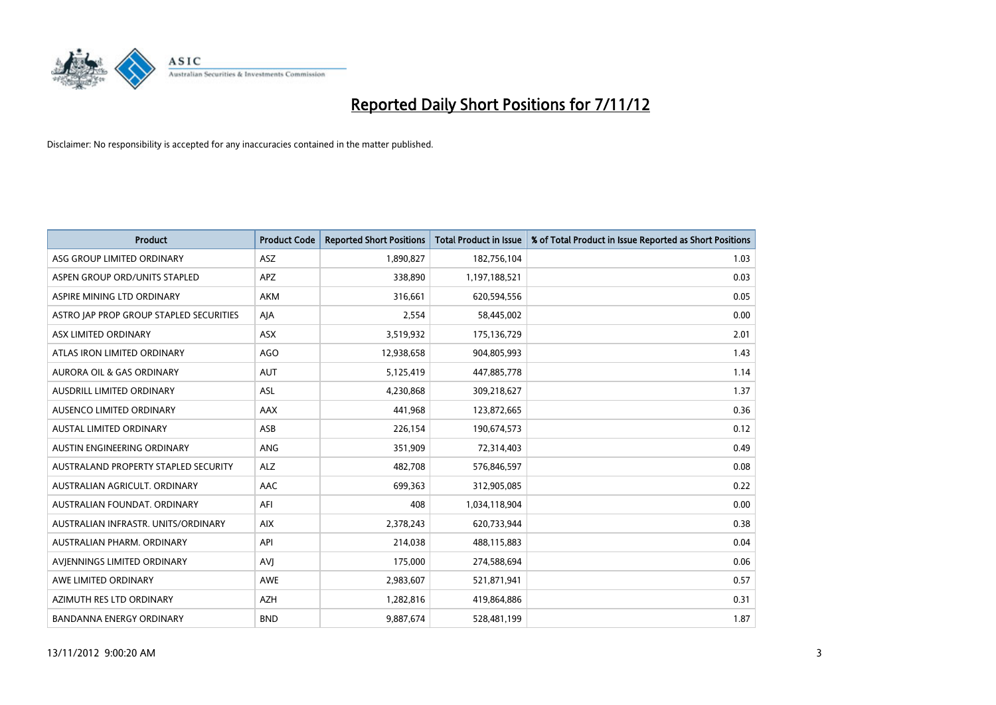

| <b>Product</b>                              | <b>Product Code</b> | <b>Reported Short Positions</b> | <b>Total Product in Issue</b> | % of Total Product in Issue Reported as Short Positions |
|---------------------------------------------|---------------------|---------------------------------|-------------------------------|---------------------------------------------------------|
| ASG GROUP LIMITED ORDINARY                  | <b>ASZ</b>          | 1,890,827                       | 182,756,104                   | 1.03                                                    |
| ASPEN GROUP ORD/UNITS STAPLED               | <b>APZ</b>          | 338,890                         | 1,197,188,521                 | 0.03                                                    |
| ASPIRE MINING LTD ORDINARY                  | <b>AKM</b>          | 316,661                         | 620,594,556                   | 0.05                                                    |
| ASTRO JAP PROP GROUP STAPLED SECURITIES     | AJA                 | 2,554                           | 58,445,002                    | 0.00                                                    |
| ASX LIMITED ORDINARY                        | <b>ASX</b>          | 3,519,932                       | 175,136,729                   | 2.01                                                    |
| ATLAS IRON LIMITED ORDINARY                 | <b>AGO</b>          | 12,938,658                      | 904,805,993                   | 1.43                                                    |
| <b>AURORA OIL &amp; GAS ORDINARY</b>        | <b>AUT</b>          | 5,125,419                       | 447,885,778                   | 1.14                                                    |
| AUSDRILL LIMITED ORDINARY                   | <b>ASL</b>          | 4,230,868                       | 309,218,627                   | 1.37                                                    |
| AUSENCO LIMITED ORDINARY                    | AAX                 | 441,968                         | 123,872,665                   | 0.36                                                    |
| <b>AUSTAL LIMITED ORDINARY</b>              | ASB                 | 226,154                         | 190,674,573                   | 0.12                                                    |
| AUSTIN ENGINEERING ORDINARY                 | ANG                 | 351,909                         | 72,314,403                    | 0.49                                                    |
| <b>AUSTRALAND PROPERTY STAPLED SECURITY</b> | <b>ALZ</b>          | 482,708                         | 576,846,597                   | 0.08                                                    |
| AUSTRALIAN AGRICULT. ORDINARY               | AAC                 | 699,363                         | 312,905,085                   | 0.22                                                    |
| AUSTRALIAN FOUNDAT, ORDINARY                | AFI                 | 408                             | 1,034,118,904                 | 0.00                                                    |
| AUSTRALIAN INFRASTR, UNITS/ORDINARY         | <b>AIX</b>          | 2,378,243                       | 620,733,944                   | 0.38                                                    |
| AUSTRALIAN PHARM. ORDINARY                  | API                 | 214,038                         | 488,115,883                   | 0.04                                                    |
| AVIENNINGS LIMITED ORDINARY                 | AVI                 | 175,000                         | 274,588,694                   | 0.06                                                    |
| AWE LIMITED ORDINARY                        | <b>AWE</b>          | 2,983,607                       | 521,871,941                   | 0.57                                                    |
| AZIMUTH RES LTD ORDINARY                    | <b>AZH</b>          | 1,282,816                       | 419,864,886                   | 0.31                                                    |
| <b>BANDANNA ENERGY ORDINARY</b>             | <b>BND</b>          | 9,887,674                       | 528,481,199                   | 1.87                                                    |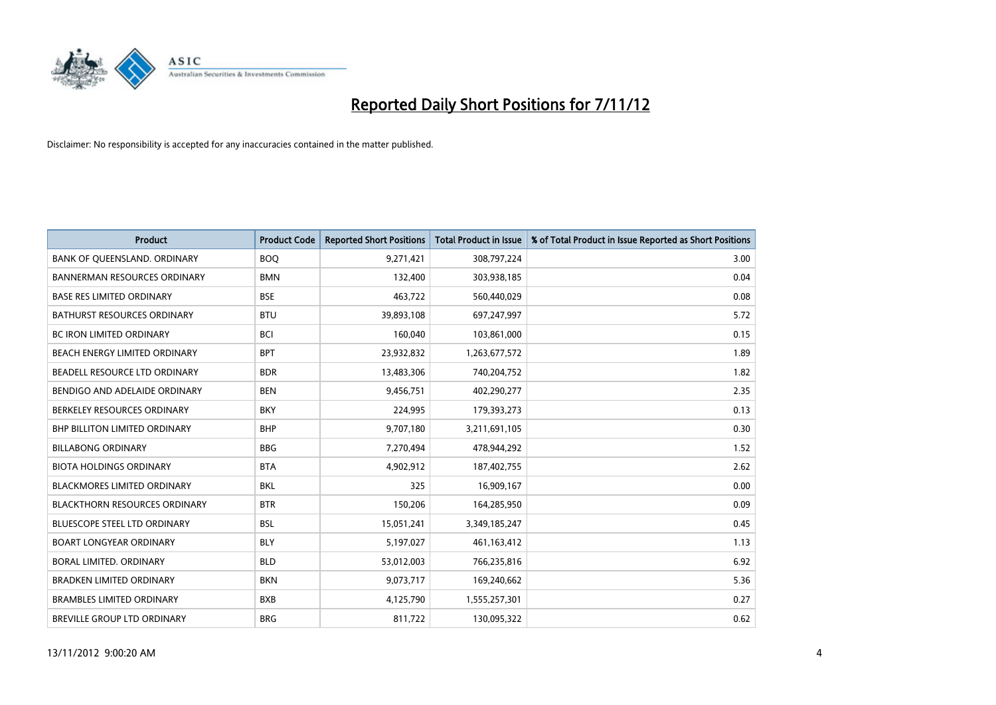

| <b>Product</b>                       | <b>Product Code</b> | <b>Reported Short Positions</b> | <b>Total Product in Issue</b> | % of Total Product in Issue Reported as Short Positions |
|--------------------------------------|---------------------|---------------------------------|-------------------------------|---------------------------------------------------------|
| BANK OF QUEENSLAND. ORDINARY         | <b>BOQ</b>          | 9,271,421                       | 308,797,224                   | 3.00                                                    |
| <b>BANNERMAN RESOURCES ORDINARY</b>  | <b>BMN</b>          | 132,400                         | 303,938,185                   | 0.04                                                    |
| <b>BASE RES LIMITED ORDINARY</b>     | <b>BSE</b>          | 463,722                         | 560,440,029                   | 0.08                                                    |
| <b>BATHURST RESOURCES ORDINARY</b>   | <b>BTU</b>          | 39,893,108                      | 697,247,997                   | 5.72                                                    |
| <b>BC IRON LIMITED ORDINARY</b>      | <b>BCI</b>          | 160,040                         | 103,861,000                   | 0.15                                                    |
| BEACH ENERGY LIMITED ORDINARY        | <b>BPT</b>          | 23,932,832                      | 1,263,677,572                 | 1.89                                                    |
| BEADELL RESOURCE LTD ORDINARY        | <b>BDR</b>          | 13,483,306                      | 740,204,752                   | 1.82                                                    |
| BENDIGO AND ADELAIDE ORDINARY        | <b>BEN</b>          | 9,456,751                       | 402,290,277                   | 2.35                                                    |
| BERKELEY RESOURCES ORDINARY          | <b>BKY</b>          | 224,995                         | 179,393,273                   | 0.13                                                    |
| <b>BHP BILLITON LIMITED ORDINARY</b> | <b>BHP</b>          | 9,707,180                       | 3,211,691,105                 | 0.30                                                    |
| <b>BILLABONG ORDINARY</b>            | <b>BBG</b>          | 7,270,494                       | 478,944,292                   | 1.52                                                    |
| <b>BIOTA HOLDINGS ORDINARY</b>       | <b>BTA</b>          | 4,902,912                       | 187,402,755                   | 2.62                                                    |
| <b>BLACKMORES LIMITED ORDINARY</b>   | <b>BKL</b>          | 325                             | 16,909,167                    | 0.00                                                    |
| <b>BLACKTHORN RESOURCES ORDINARY</b> | <b>BTR</b>          | 150,206                         | 164,285,950                   | 0.09                                                    |
| <b>BLUESCOPE STEEL LTD ORDINARY</b>  | <b>BSL</b>          | 15,051,241                      | 3,349,185,247                 | 0.45                                                    |
| <b>BOART LONGYEAR ORDINARY</b>       | <b>BLY</b>          | 5,197,027                       | 461,163,412                   | 1.13                                                    |
| BORAL LIMITED, ORDINARY              | <b>BLD</b>          | 53,012,003                      | 766,235,816                   | 6.92                                                    |
| <b>BRADKEN LIMITED ORDINARY</b>      | <b>BKN</b>          | 9,073,717                       | 169,240,662                   | 5.36                                                    |
| <b>BRAMBLES LIMITED ORDINARY</b>     | <b>BXB</b>          | 4,125,790                       | 1,555,257,301                 | 0.27                                                    |
| BREVILLE GROUP LTD ORDINARY          | <b>BRG</b>          | 811,722                         | 130,095,322                   | 0.62                                                    |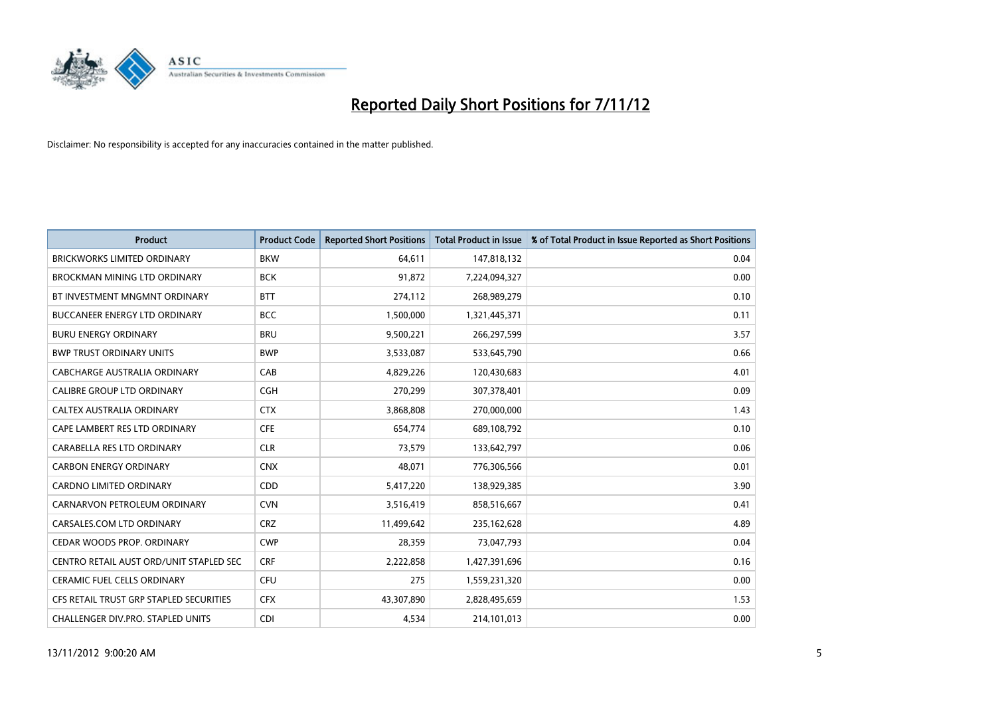

| <b>Product</b>                           | <b>Product Code</b> | <b>Reported Short Positions</b> | <b>Total Product in Issue</b> | % of Total Product in Issue Reported as Short Positions |
|------------------------------------------|---------------------|---------------------------------|-------------------------------|---------------------------------------------------------|
| <b>BRICKWORKS LIMITED ORDINARY</b>       | <b>BKW</b>          | 64,611                          | 147,818,132                   | 0.04                                                    |
| <b>BROCKMAN MINING LTD ORDINARY</b>      | <b>BCK</b>          | 91,872                          | 7,224,094,327                 | 0.00                                                    |
| BT INVESTMENT MNGMNT ORDINARY            | <b>BTT</b>          | 274,112                         | 268,989,279                   | 0.10                                                    |
| BUCCANEER ENERGY LTD ORDINARY            | <b>BCC</b>          | 1,500,000                       | 1,321,445,371                 | 0.11                                                    |
| <b>BURU ENERGY ORDINARY</b>              | <b>BRU</b>          | 9,500,221                       | 266,297,599                   | 3.57                                                    |
| <b>BWP TRUST ORDINARY UNITS</b>          | <b>BWP</b>          | 3,533,087                       | 533,645,790                   | 0.66                                                    |
| <b>CABCHARGE AUSTRALIA ORDINARY</b>      | CAB                 | 4,829,226                       | 120,430,683                   | 4.01                                                    |
| <b>CALIBRE GROUP LTD ORDINARY</b>        | <b>CGH</b>          | 270,299                         | 307,378,401                   | 0.09                                                    |
| CALTEX AUSTRALIA ORDINARY                | <b>CTX</b>          | 3,868,808                       | 270,000,000                   | 1.43                                                    |
| CAPE LAMBERT RES LTD ORDINARY            | <b>CFE</b>          | 654,774                         | 689,108,792                   | 0.10                                                    |
| CARABELLA RES LTD ORDINARY               | <b>CLR</b>          | 73,579                          | 133,642,797                   | 0.06                                                    |
| <b>CARBON ENERGY ORDINARY</b>            | <b>CNX</b>          | 48,071                          | 776,306,566                   | 0.01                                                    |
| <b>CARDNO LIMITED ORDINARY</b>           | <b>CDD</b>          | 5,417,220                       | 138,929,385                   | 3.90                                                    |
| CARNARVON PETROLEUM ORDINARY             | <b>CVN</b>          | 3,516,419                       | 858,516,667                   | 0.41                                                    |
| CARSALES.COM LTD ORDINARY                | <b>CRZ</b>          | 11,499,642                      | 235,162,628                   | 4.89                                                    |
| CEDAR WOODS PROP. ORDINARY               | <b>CWP</b>          | 28,359                          | 73,047,793                    | 0.04                                                    |
| CENTRO RETAIL AUST ORD/UNIT STAPLED SEC  | <b>CRF</b>          | 2,222,858                       | 1,427,391,696                 | 0.16                                                    |
| <b>CERAMIC FUEL CELLS ORDINARY</b>       | CFU                 | 275                             | 1,559,231,320                 | 0.00                                                    |
| CFS RETAIL TRUST GRP STAPLED SECURITIES  | <b>CFX</b>          | 43,307,890                      | 2,828,495,659                 | 1.53                                                    |
| <b>CHALLENGER DIV.PRO. STAPLED UNITS</b> | <b>CDI</b>          | 4.534                           | 214,101,013                   | 0.00                                                    |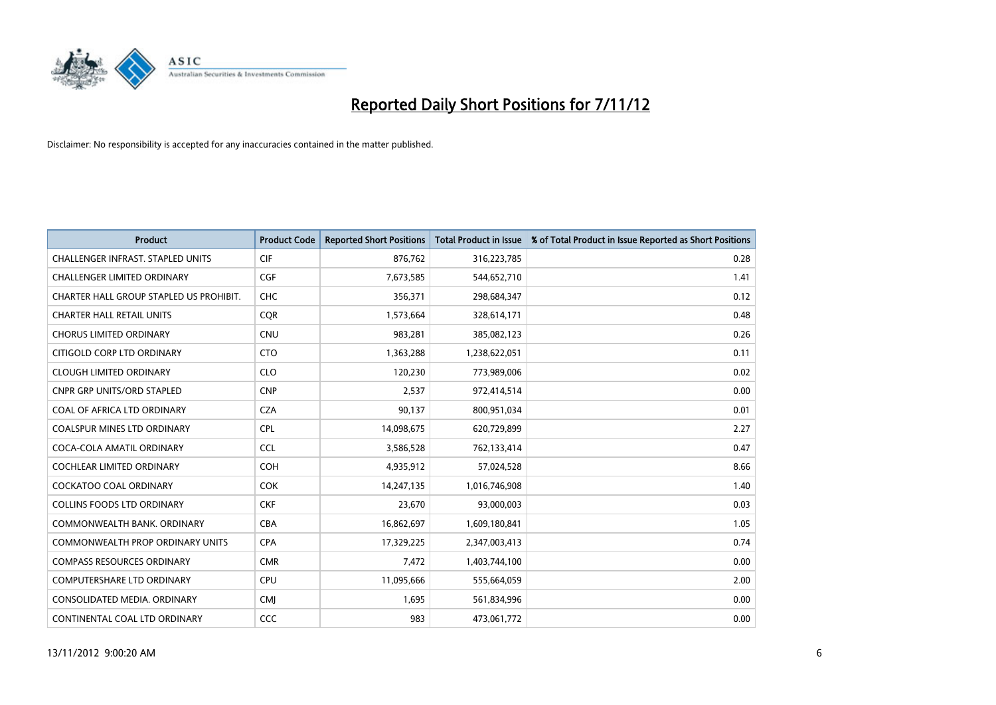

| <b>Product</b>                           | <b>Product Code</b> | <b>Reported Short Positions</b> | <b>Total Product in Issue</b> | % of Total Product in Issue Reported as Short Positions |
|------------------------------------------|---------------------|---------------------------------|-------------------------------|---------------------------------------------------------|
| <b>CHALLENGER INFRAST, STAPLED UNITS</b> | <b>CIF</b>          | 876,762                         | 316,223,785                   | 0.28                                                    |
| <b>CHALLENGER LIMITED ORDINARY</b>       | <b>CGF</b>          | 7,673,585                       | 544,652,710                   | 1.41                                                    |
| CHARTER HALL GROUP STAPLED US PROHIBIT.  | <b>CHC</b>          | 356,371                         | 298,684,347                   | 0.12                                                    |
| <b>CHARTER HALL RETAIL UNITS</b>         | <b>COR</b>          | 1,573,664                       | 328,614,171                   | 0.48                                                    |
| <b>CHORUS LIMITED ORDINARY</b>           | <b>CNU</b>          | 983.281                         | 385,082,123                   | 0.26                                                    |
| CITIGOLD CORP LTD ORDINARY               | <b>CTO</b>          | 1,363,288                       | 1,238,622,051                 | 0.11                                                    |
| <b>CLOUGH LIMITED ORDINARY</b>           | <b>CLO</b>          | 120.230                         | 773,989,006                   | 0.02                                                    |
| <b>CNPR GRP UNITS/ORD STAPLED</b>        | <b>CNP</b>          | 2,537                           | 972,414,514                   | 0.00                                                    |
| COAL OF AFRICA LTD ORDINARY              | <b>CZA</b>          | 90,137                          | 800,951,034                   | 0.01                                                    |
| <b>COALSPUR MINES LTD ORDINARY</b>       | <b>CPL</b>          | 14,098,675                      | 620,729,899                   | 2.27                                                    |
| COCA-COLA AMATIL ORDINARY                | <b>CCL</b>          | 3,586,528                       | 762,133,414                   | 0.47                                                    |
| <b>COCHLEAR LIMITED ORDINARY</b>         | <b>COH</b>          | 4,935,912                       | 57,024,528                    | 8.66                                                    |
| <b>COCKATOO COAL ORDINARY</b>            | <b>COK</b>          | 14,247,135                      | 1,016,746,908                 | 1.40                                                    |
| <b>COLLINS FOODS LTD ORDINARY</b>        | <b>CKF</b>          | 23,670                          | 93,000,003                    | 0.03                                                    |
| COMMONWEALTH BANK, ORDINARY              | <b>CBA</b>          | 16,862,697                      | 1,609,180,841                 | 1.05                                                    |
| <b>COMMONWEALTH PROP ORDINARY UNITS</b>  | <b>CPA</b>          | 17,329,225                      | 2,347,003,413                 | 0.74                                                    |
| <b>COMPASS RESOURCES ORDINARY</b>        | <b>CMR</b>          | 7,472                           | 1,403,744,100                 | 0.00                                                    |
| COMPUTERSHARE LTD ORDINARY               | <b>CPU</b>          | 11,095,666                      | 555,664,059                   | 2.00                                                    |
| CONSOLIDATED MEDIA, ORDINARY             | <b>CMI</b>          | 1,695                           | 561,834,996                   | 0.00                                                    |
| CONTINENTAL COAL LTD ORDINARY            | CCC                 | 983                             | 473,061,772                   | 0.00                                                    |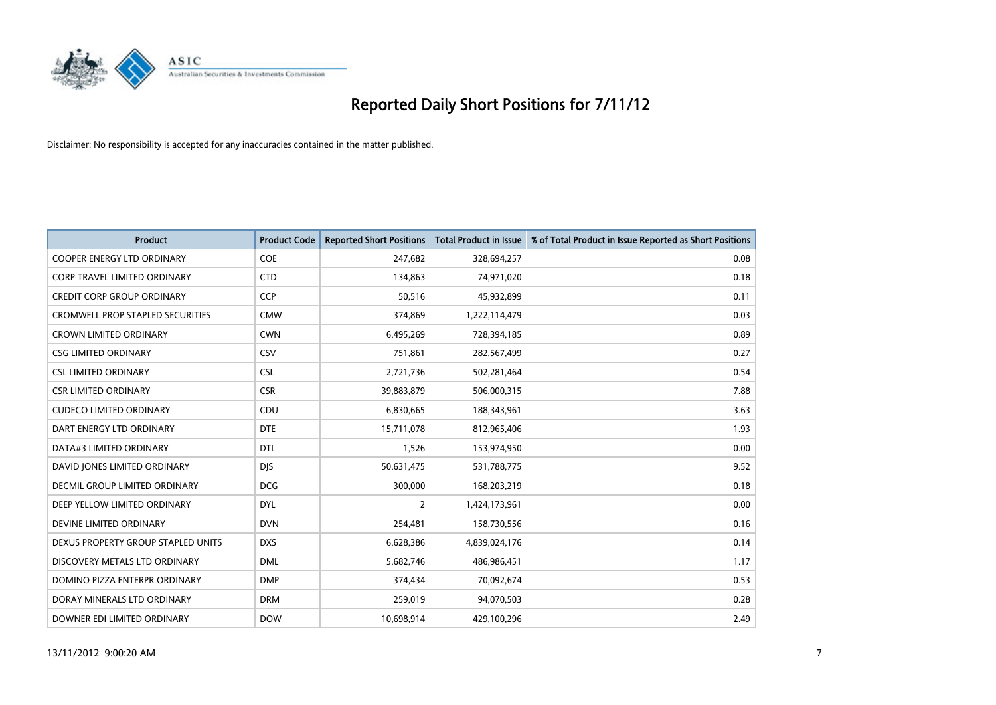

| <b>Product</b>                          | <b>Product Code</b> | <b>Reported Short Positions</b> | <b>Total Product in Issue</b> | % of Total Product in Issue Reported as Short Positions |
|-----------------------------------------|---------------------|---------------------------------|-------------------------------|---------------------------------------------------------|
| <b>COOPER ENERGY LTD ORDINARY</b>       | <b>COE</b>          | 247,682                         | 328,694,257                   | 0.08                                                    |
| CORP TRAVEL LIMITED ORDINARY            | <b>CTD</b>          | 134,863                         | 74,971,020                    | 0.18                                                    |
| <b>CREDIT CORP GROUP ORDINARY</b>       | <b>CCP</b>          | 50,516                          | 45,932,899                    | 0.11                                                    |
| <b>CROMWELL PROP STAPLED SECURITIES</b> | <b>CMW</b>          | 374,869                         | 1,222,114,479                 | 0.03                                                    |
| <b>CROWN LIMITED ORDINARY</b>           | <b>CWN</b>          | 6,495,269                       | 728,394,185                   | 0.89                                                    |
| <b>CSG LIMITED ORDINARY</b>             | CSV                 | 751,861                         | 282,567,499                   | 0.27                                                    |
| <b>CSL LIMITED ORDINARY</b>             | <b>CSL</b>          | 2,721,736                       | 502,281,464                   | 0.54                                                    |
| <b>CSR LIMITED ORDINARY</b>             | <b>CSR</b>          | 39,883,879                      | 506,000,315                   | 7.88                                                    |
| <b>CUDECO LIMITED ORDINARY</b>          | CDU                 | 6,830,665                       | 188,343,961                   | 3.63                                                    |
| DART ENERGY LTD ORDINARY                | <b>DTE</b>          | 15,711,078                      | 812,965,406                   | 1.93                                                    |
| DATA#3 LIMITED ORDINARY                 | <b>DTL</b>          | 1,526                           | 153,974,950                   | 0.00                                                    |
| DAVID JONES LIMITED ORDINARY            | <b>DJS</b>          | 50,631,475                      | 531,788,775                   | 9.52                                                    |
| <b>DECMIL GROUP LIMITED ORDINARY</b>    | <b>DCG</b>          | 300,000                         | 168,203,219                   | 0.18                                                    |
| DEEP YELLOW LIMITED ORDINARY            | <b>DYL</b>          | 2                               | 1,424,173,961                 | 0.00                                                    |
| DEVINE LIMITED ORDINARY                 | <b>DVN</b>          | 254,481                         | 158,730,556                   | 0.16                                                    |
| DEXUS PROPERTY GROUP STAPLED UNITS      | <b>DXS</b>          | 6,628,386                       | 4,839,024,176                 | 0.14                                                    |
| DISCOVERY METALS LTD ORDINARY           | <b>DML</b>          | 5,682,746                       | 486,986,451                   | 1.17                                                    |
| DOMINO PIZZA ENTERPR ORDINARY           | <b>DMP</b>          | 374,434                         | 70,092,674                    | 0.53                                                    |
| DORAY MINERALS LTD ORDINARY             | <b>DRM</b>          | 259,019                         | 94,070,503                    | 0.28                                                    |
| DOWNER EDI LIMITED ORDINARY             | <b>DOW</b>          | 10.698.914                      | 429,100,296                   | 2.49                                                    |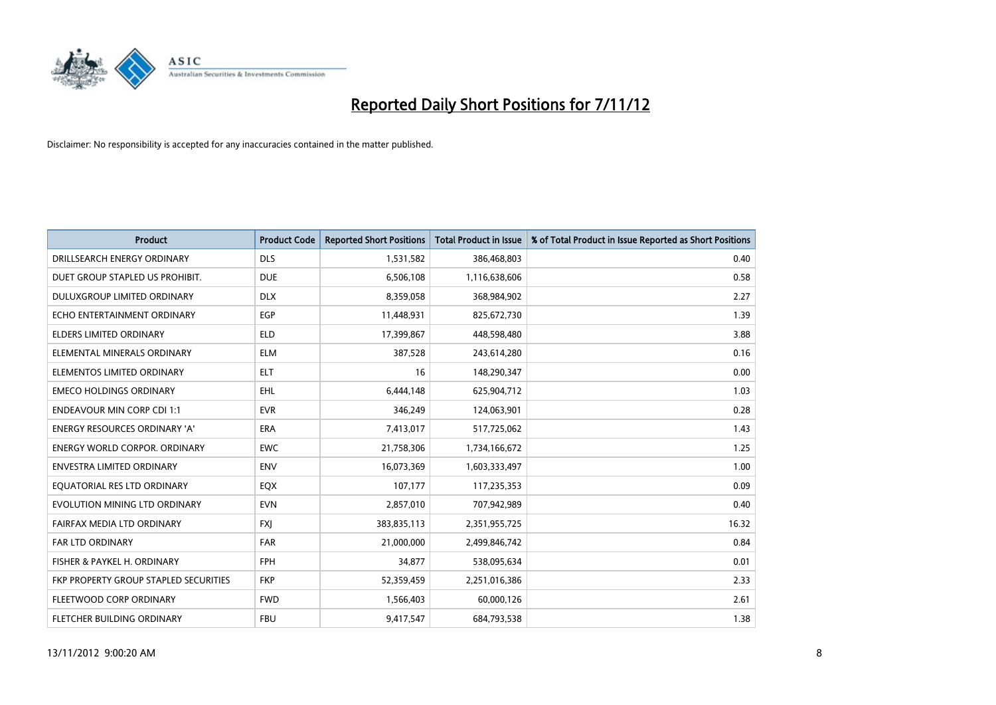

| <b>Product</b>                        | <b>Product Code</b> | <b>Reported Short Positions</b> | <b>Total Product in Issue</b> | % of Total Product in Issue Reported as Short Positions |
|---------------------------------------|---------------------|---------------------------------|-------------------------------|---------------------------------------------------------|
| DRILLSEARCH ENERGY ORDINARY           | <b>DLS</b>          | 1,531,582                       | 386,468,803                   | 0.40                                                    |
| DUET GROUP STAPLED US PROHIBIT.       | <b>DUE</b>          | 6,506,108                       | 1,116,638,606                 | 0.58                                                    |
| <b>DULUXGROUP LIMITED ORDINARY</b>    | <b>DLX</b>          | 8,359,058                       | 368,984,902                   | 2.27                                                    |
| ECHO ENTERTAINMENT ORDINARY           | EGP                 | 11,448,931                      | 825,672,730                   | 1.39                                                    |
| <b>ELDERS LIMITED ORDINARY</b>        | <b>ELD</b>          | 17,399,867                      | 448,598,480                   | 3.88                                                    |
| ELEMENTAL MINERALS ORDINARY           | <b>ELM</b>          | 387,528                         | 243,614,280                   | 0.16                                                    |
| ELEMENTOS LIMITED ORDINARY            | <b>ELT</b>          | 16                              | 148,290,347                   | 0.00                                                    |
| <b>EMECO HOLDINGS ORDINARY</b>        | <b>EHL</b>          | 6,444,148                       | 625,904,712                   | 1.03                                                    |
| <b>ENDEAVOUR MIN CORP CDI 1:1</b>     | <b>EVR</b>          | 346,249                         | 124,063,901                   | 0.28                                                    |
| <b>ENERGY RESOURCES ORDINARY 'A'</b>  | <b>ERA</b>          | 7,413,017                       | 517,725,062                   | 1.43                                                    |
| ENERGY WORLD CORPOR. ORDINARY         | <b>EWC</b>          | 21,758,306                      | 1,734,166,672                 | 1.25                                                    |
| <b>ENVESTRA LIMITED ORDINARY</b>      | <b>ENV</b>          | 16,073,369                      | 1,603,333,497                 | 1.00                                                    |
| EQUATORIAL RES LTD ORDINARY           | <b>EQX</b>          | 107,177                         | 117,235,353                   | 0.09                                                    |
| EVOLUTION MINING LTD ORDINARY         | <b>EVN</b>          | 2,857,010                       | 707,942,989                   | 0.40                                                    |
| FAIRFAX MEDIA LTD ORDINARY            | <b>FXI</b>          | 383,835,113                     | 2,351,955,725                 | 16.32                                                   |
| <b>FAR LTD ORDINARY</b>               | <b>FAR</b>          | 21,000,000                      | 2,499,846,742                 | 0.84                                                    |
| FISHER & PAYKEL H. ORDINARY           | <b>FPH</b>          | 34,877                          | 538,095,634                   | 0.01                                                    |
| FKP PROPERTY GROUP STAPLED SECURITIES | <b>FKP</b>          | 52,359,459                      | 2,251,016,386                 | 2.33                                                    |
| FLEETWOOD CORP ORDINARY               | <b>FWD</b>          | 1,566,403                       | 60,000,126                    | 2.61                                                    |
| <b>FLETCHER BUILDING ORDINARY</b>     | <b>FBU</b>          | 9,417,547                       | 684,793,538                   | 1.38                                                    |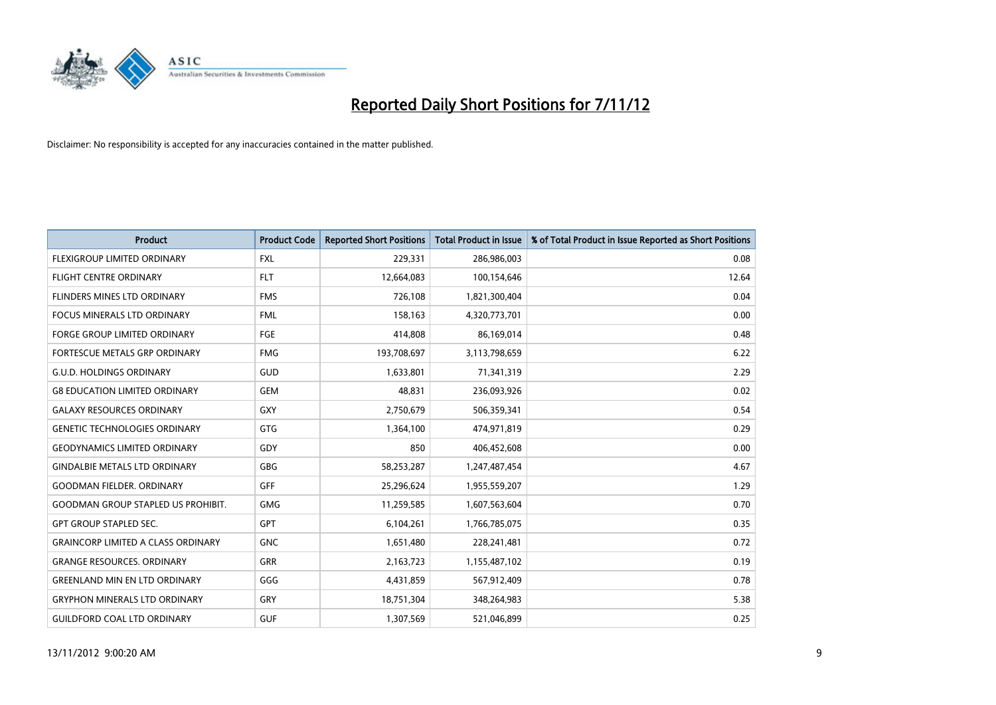

| <b>Product</b>                            | <b>Product Code</b> | <b>Reported Short Positions</b> | <b>Total Product in Issue</b> | % of Total Product in Issue Reported as Short Positions |
|-------------------------------------------|---------------------|---------------------------------|-------------------------------|---------------------------------------------------------|
| <b>FLEXIGROUP LIMITED ORDINARY</b>        | <b>FXL</b>          | 229,331                         | 286,986,003                   | 0.08                                                    |
| FLIGHT CENTRE ORDINARY                    | <b>FLT</b>          | 12,664,083                      | 100,154,646                   | 12.64                                                   |
| <b>FLINDERS MINES LTD ORDINARY</b>        | <b>FMS</b>          | 726,108                         | 1,821,300,404                 | 0.04                                                    |
| FOCUS MINERALS LTD ORDINARY               | <b>FML</b>          | 158,163                         | 4,320,773,701                 | 0.00                                                    |
| <b>FORGE GROUP LIMITED ORDINARY</b>       | FGE                 | 414,808                         | 86,169,014                    | 0.48                                                    |
| FORTESCUE METALS GRP ORDINARY             | <b>FMG</b>          | 193,708,697                     | 3,113,798,659                 | 6.22                                                    |
| <b>G.U.D. HOLDINGS ORDINARY</b>           | <b>GUD</b>          | 1,633,801                       | 71,341,319                    | 2.29                                                    |
| <b>G8 EDUCATION LIMITED ORDINARY</b>      | <b>GEM</b>          | 48,831                          | 236,093,926                   | 0.02                                                    |
| <b>GALAXY RESOURCES ORDINARY</b>          | <b>GXY</b>          | 2,750,679                       | 506,359,341                   | 0.54                                                    |
| <b>GENETIC TECHNOLOGIES ORDINARY</b>      | <b>GTG</b>          | 1,364,100                       | 474,971,819                   | 0.29                                                    |
| <b>GEODYNAMICS LIMITED ORDINARY</b>       | GDY                 | 850                             | 406,452,608                   | 0.00                                                    |
| <b>GINDALBIE METALS LTD ORDINARY</b>      | <b>GBG</b>          | 58,253,287                      | 1,247,487,454                 | 4.67                                                    |
| <b>GOODMAN FIELDER, ORDINARY</b>          | <b>GFF</b>          | 25,296,624                      | 1,955,559,207                 | 1.29                                                    |
| <b>GOODMAN GROUP STAPLED US PROHIBIT.</b> | <b>GMG</b>          | 11,259,585                      | 1,607,563,604                 | 0.70                                                    |
| <b>GPT GROUP STAPLED SEC.</b>             | <b>GPT</b>          | 6,104,261                       | 1,766,785,075                 | 0.35                                                    |
| <b>GRAINCORP LIMITED A CLASS ORDINARY</b> | <b>GNC</b>          | 1,651,480                       | 228,241,481                   | 0.72                                                    |
| <b>GRANGE RESOURCES, ORDINARY</b>         | <b>GRR</b>          | 2,163,723                       | 1,155,487,102                 | 0.19                                                    |
| <b>GREENLAND MIN EN LTD ORDINARY</b>      | GGG                 | 4,431,859                       | 567,912,409                   | 0.78                                                    |
| <b>GRYPHON MINERALS LTD ORDINARY</b>      | GRY                 | 18,751,304                      | 348,264,983                   | 5.38                                                    |
| <b>GUILDFORD COAL LTD ORDINARY</b>        | <b>GUF</b>          | 1,307,569                       | 521,046,899                   | 0.25                                                    |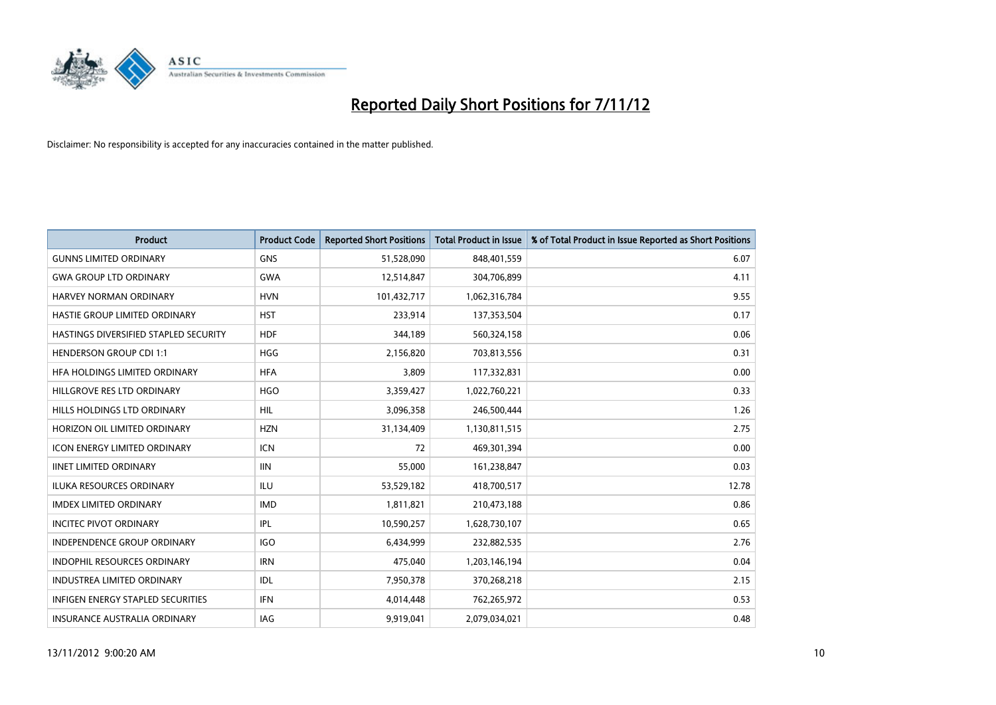

| <b>Product</b>                        | <b>Product Code</b> | <b>Reported Short Positions</b> | <b>Total Product in Issue</b> | % of Total Product in Issue Reported as Short Positions |
|---------------------------------------|---------------------|---------------------------------|-------------------------------|---------------------------------------------------------|
| <b>GUNNS LIMITED ORDINARY</b>         | <b>GNS</b>          | 51,528,090                      | 848,401,559                   | 6.07                                                    |
| <b>GWA GROUP LTD ORDINARY</b>         | <b>GWA</b>          | 12,514,847                      | 304,706,899                   | 4.11                                                    |
| <b>HARVEY NORMAN ORDINARY</b>         | <b>HVN</b>          | 101,432,717                     | 1,062,316,784                 | 9.55                                                    |
| HASTIE GROUP LIMITED ORDINARY         | <b>HST</b>          | 233,914                         | 137,353,504                   | 0.17                                                    |
| HASTINGS DIVERSIFIED STAPLED SECURITY | <b>HDF</b>          | 344,189                         | 560,324,158                   | 0.06                                                    |
| <b>HENDERSON GROUP CDI 1:1</b>        | <b>HGG</b>          | 2,156,820                       | 703,813,556                   | 0.31                                                    |
| HEA HOLDINGS LIMITED ORDINARY         | <b>HFA</b>          | 3,809                           | 117,332,831                   | 0.00                                                    |
| HILLGROVE RES LTD ORDINARY            | <b>HGO</b>          | 3,359,427                       | 1,022,760,221                 | 0.33                                                    |
| HILLS HOLDINGS LTD ORDINARY           | <b>HIL</b>          | 3,096,358                       | 246,500,444                   | 1.26                                                    |
| HORIZON OIL LIMITED ORDINARY          | <b>HZN</b>          | 31,134,409                      | 1,130,811,515                 | 2.75                                                    |
| <b>ICON ENERGY LIMITED ORDINARY</b>   | <b>ICN</b>          | 72                              | 469,301,394                   | 0.00                                                    |
| <b>IINET LIMITED ORDINARY</b>         | <b>IIN</b>          | 55,000                          | 161,238,847                   | 0.03                                                    |
| <b>ILUKA RESOURCES ORDINARY</b>       | ILU                 | 53,529,182                      | 418,700,517                   | 12.78                                                   |
| <b>IMDEX LIMITED ORDINARY</b>         | <b>IMD</b>          | 1,811,821                       | 210,473,188                   | 0.86                                                    |
| <b>INCITEC PIVOT ORDINARY</b>         | <b>IPL</b>          | 10,590,257                      | 1,628,730,107                 | 0.65                                                    |
| <b>INDEPENDENCE GROUP ORDINARY</b>    | <b>IGO</b>          | 6,434,999                       | 232,882,535                   | 2.76                                                    |
| <b>INDOPHIL RESOURCES ORDINARY</b>    | <b>IRN</b>          | 475,040                         | 1,203,146,194                 | 0.04                                                    |
| INDUSTREA LIMITED ORDINARY            | <b>IDL</b>          | 7,950,378                       | 370,268,218                   | 2.15                                                    |
| INFIGEN ENERGY STAPLED SECURITIES     | <b>IFN</b>          | 4,014,448                       | 762,265,972                   | 0.53                                                    |
| INSURANCE AUSTRALIA ORDINARY          | IAG                 | 9,919,041                       | 2,079,034,021                 | 0.48                                                    |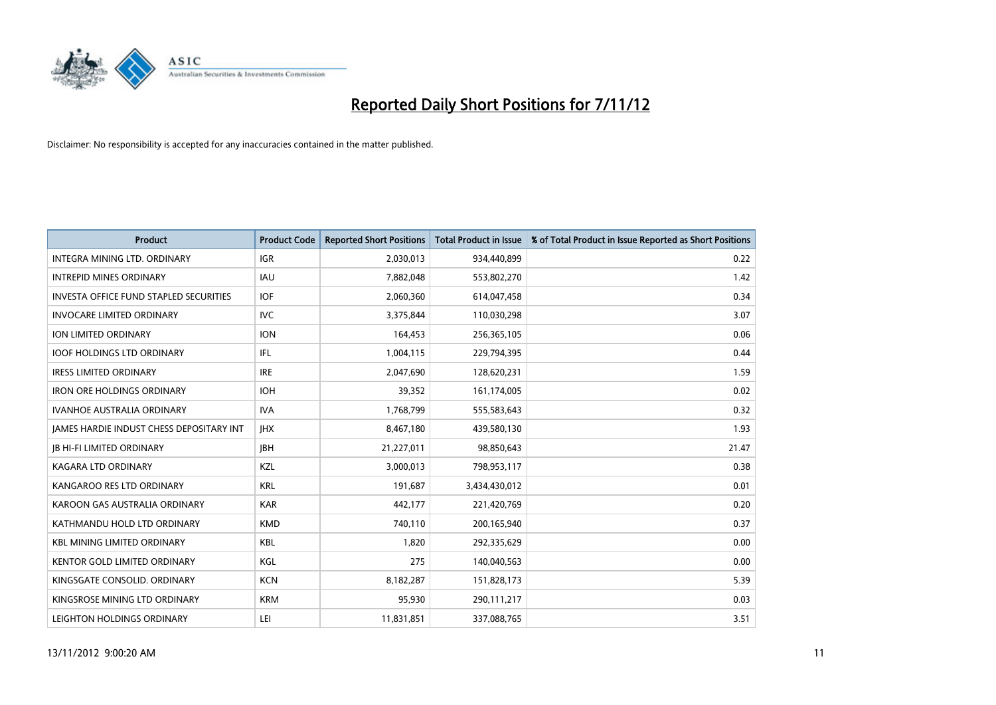

| <b>Product</b>                                  | <b>Product Code</b> | <b>Reported Short Positions</b> | <b>Total Product in Issue</b> | % of Total Product in Issue Reported as Short Positions |
|-------------------------------------------------|---------------------|---------------------------------|-------------------------------|---------------------------------------------------------|
| <b>INTEGRA MINING LTD, ORDINARY</b>             | <b>IGR</b>          | 2,030,013                       | 934,440,899                   | 0.22                                                    |
| <b>INTREPID MINES ORDINARY</b>                  | <b>IAU</b>          | 7,882,048                       | 553,802,270                   | 1.42                                                    |
| <b>INVESTA OFFICE FUND STAPLED SECURITIES</b>   | <b>IOF</b>          | 2,060,360                       | 614,047,458                   | 0.34                                                    |
| <b>INVOCARE LIMITED ORDINARY</b>                | IVC                 | 3,375,844                       | 110,030,298                   | 3.07                                                    |
| <b>ION LIMITED ORDINARY</b>                     | <b>ION</b>          | 164,453                         | 256,365,105                   | 0.06                                                    |
| <b>IOOF HOLDINGS LTD ORDINARY</b>               | IFL.                | 1,004,115                       | 229,794,395                   | 0.44                                                    |
| IRESS LIMITED ORDINARY                          | <b>IRE</b>          | 2,047,690                       | 128,620,231                   | 1.59                                                    |
| <b>IRON ORE HOLDINGS ORDINARY</b>               | <b>IOH</b>          | 39,352                          | 161,174,005                   | 0.02                                                    |
| <b>IVANHOE AUSTRALIA ORDINARY</b>               | <b>IVA</b>          | 1,768,799                       | 555,583,643                   | 0.32                                                    |
| <b>IAMES HARDIE INDUST CHESS DEPOSITARY INT</b> | <b>IHX</b>          | 8,467,180                       | 439,580,130                   | 1.93                                                    |
| <b>IB HI-FI LIMITED ORDINARY</b>                | <b>IBH</b>          | 21,227,011                      | 98,850,643                    | 21.47                                                   |
| KAGARA LTD ORDINARY                             | KZL                 | 3,000,013                       | 798,953,117                   | 0.38                                                    |
| KANGAROO RES LTD ORDINARY                       | <b>KRL</b>          | 191,687                         | 3,434,430,012                 | 0.01                                                    |
| KAROON GAS AUSTRALIA ORDINARY                   | <b>KAR</b>          | 442,177                         | 221,420,769                   | 0.20                                                    |
| KATHMANDU HOLD LTD ORDINARY                     | <b>KMD</b>          | 740,110                         | 200,165,940                   | 0.37                                                    |
| <b>KBL MINING LIMITED ORDINARY</b>              | <b>KBL</b>          | 1,820                           | 292,335,629                   | 0.00                                                    |
| <b>KENTOR GOLD LIMITED ORDINARY</b>             | KGL                 | 275                             | 140,040,563                   | 0.00                                                    |
| KINGSGATE CONSOLID. ORDINARY                    | <b>KCN</b>          | 8,182,287                       | 151,828,173                   | 5.39                                                    |
| KINGSROSE MINING LTD ORDINARY                   | <b>KRM</b>          | 95,930                          | 290,111,217                   | 0.03                                                    |
| LEIGHTON HOLDINGS ORDINARY                      | LEI                 | 11,831,851                      | 337,088,765                   | 3.51                                                    |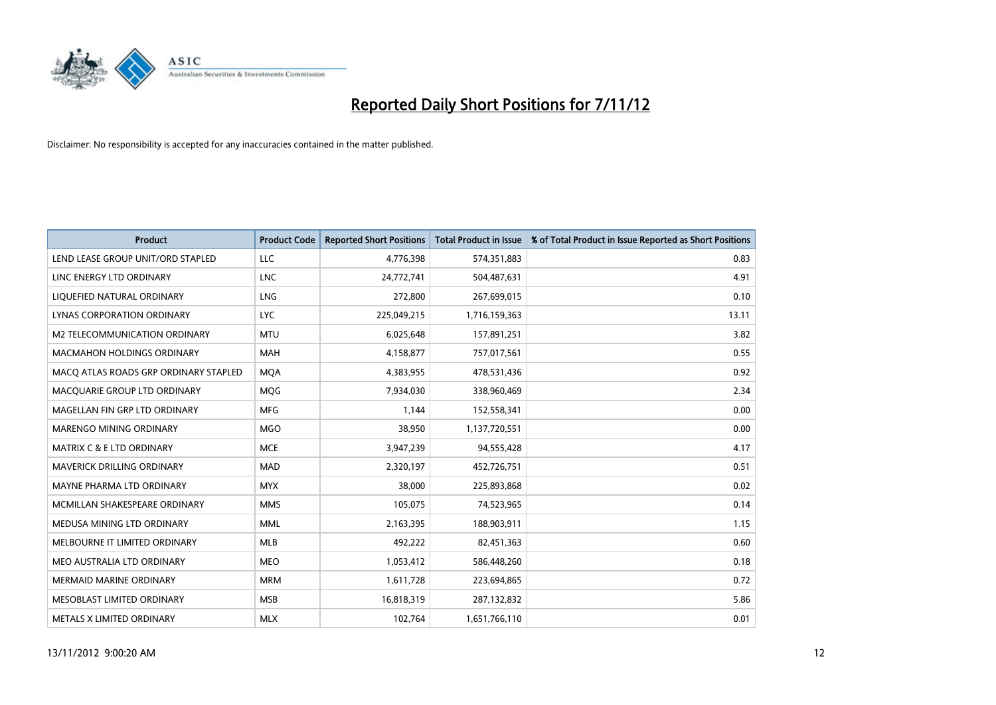

| <b>Product</b>                        | <b>Product Code</b> | <b>Reported Short Positions</b> | <b>Total Product in Issue</b> | % of Total Product in Issue Reported as Short Positions |
|---------------------------------------|---------------------|---------------------------------|-------------------------------|---------------------------------------------------------|
| LEND LEASE GROUP UNIT/ORD STAPLED     | LLC                 | 4,776,398                       | 574,351,883                   | 0.83                                                    |
| LINC ENERGY LTD ORDINARY              | <b>LNC</b>          | 24,772,741                      | 504,487,631                   | 4.91                                                    |
| LIQUEFIED NATURAL ORDINARY            | <b>LNG</b>          | 272,800                         | 267,699,015                   | 0.10                                                    |
| LYNAS CORPORATION ORDINARY            | <b>LYC</b>          | 225,049,215                     | 1,716,159,363                 | 13.11                                                   |
| M2 TELECOMMUNICATION ORDINARY         | <b>MTU</b>          | 6,025,648                       | 157,891,251                   | 3.82                                                    |
| <b>MACMAHON HOLDINGS ORDINARY</b>     | <b>MAH</b>          | 4,158,877                       | 757,017,561                   | 0.55                                                    |
| MACQ ATLAS ROADS GRP ORDINARY STAPLED | <b>MOA</b>          | 4,383,955                       | 478,531,436                   | 0.92                                                    |
| MACQUARIE GROUP LTD ORDINARY          | MQG                 | 7,934,030                       | 338,960,469                   | 2.34                                                    |
| MAGELLAN FIN GRP LTD ORDINARY         | <b>MFG</b>          | 1,144                           | 152,558,341                   | 0.00                                                    |
| MARENGO MINING ORDINARY               | <b>MGO</b>          | 38,950                          | 1,137,720,551                 | 0.00                                                    |
| MATRIX C & E LTD ORDINARY             | <b>MCE</b>          | 3,947,239                       | 94,555,428                    | 4.17                                                    |
| MAVERICK DRILLING ORDINARY            | MAD                 | 2,320,197                       | 452,726,751                   | 0.51                                                    |
| MAYNE PHARMA LTD ORDINARY             | <b>MYX</b>          | 38,000                          | 225,893,868                   | 0.02                                                    |
| MCMILLAN SHAKESPEARE ORDINARY         | <b>MMS</b>          | 105,075                         | 74,523,965                    | 0.14                                                    |
| MEDUSA MINING LTD ORDINARY            | <b>MML</b>          | 2,163,395                       | 188,903,911                   | 1.15                                                    |
| MELBOURNE IT LIMITED ORDINARY         | <b>MLB</b>          | 492,222                         | 82,451,363                    | 0.60                                                    |
| MEO AUSTRALIA LTD ORDINARY            | <b>MEO</b>          | 1,053,412                       | 586,448,260                   | 0.18                                                    |
| MERMAID MARINE ORDINARY               | <b>MRM</b>          | 1,611,728                       | 223,694,865                   | 0.72                                                    |
| MESOBLAST LIMITED ORDINARY            | <b>MSB</b>          | 16,818,319                      | 287,132,832                   | 5.86                                                    |
| METALS X LIMITED ORDINARY             | <b>MLX</b>          | 102,764                         | 1,651,766,110                 | 0.01                                                    |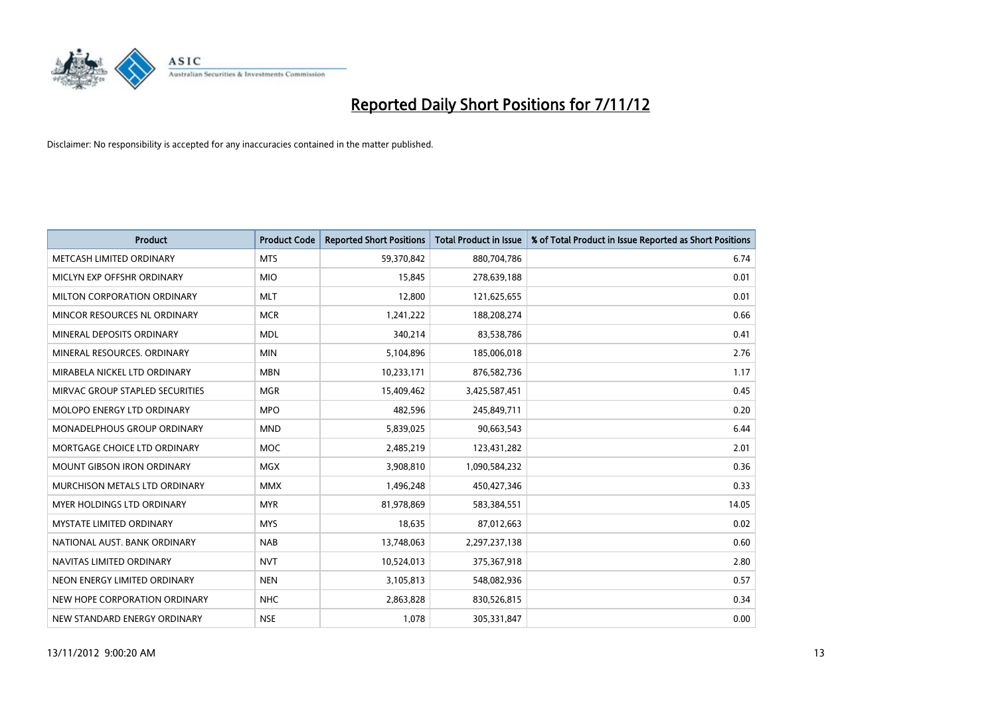

| <b>Product</b>                     | <b>Product Code</b> | <b>Reported Short Positions</b> | <b>Total Product in Issue</b> | % of Total Product in Issue Reported as Short Positions |
|------------------------------------|---------------------|---------------------------------|-------------------------------|---------------------------------------------------------|
| METCASH LIMITED ORDINARY           | <b>MTS</b>          | 59,370,842                      | 880,704,786                   | 6.74                                                    |
| MICLYN EXP OFFSHR ORDINARY         | <b>MIO</b>          | 15,845                          | 278,639,188                   | 0.01                                                    |
| MILTON CORPORATION ORDINARY        | <b>MLT</b>          | 12,800                          | 121,625,655                   | 0.01                                                    |
| MINCOR RESOURCES NL ORDINARY       | <b>MCR</b>          | 1,241,222                       | 188,208,274                   | 0.66                                                    |
| MINERAL DEPOSITS ORDINARY          | <b>MDL</b>          | 340,214                         | 83,538,786                    | 0.41                                                    |
| MINERAL RESOURCES, ORDINARY        | <b>MIN</b>          | 5,104,896                       | 185,006,018                   | 2.76                                                    |
| MIRABELA NICKEL LTD ORDINARY       | <b>MBN</b>          | 10,233,171                      | 876,582,736                   | 1.17                                                    |
| MIRVAC GROUP STAPLED SECURITIES    | <b>MGR</b>          | 15,409,462                      | 3,425,587,451                 | 0.45                                                    |
| <b>MOLOPO ENERGY LTD ORDINARY</b>  | <b>MPO</b>          | 482,596                         | 245,849,711                   | 0.20                                                    |
| <b>MONADELPHOUS GROUP ORDINARY</b> | <b>MND</b>          | 5,839,025                       | 90,663,543                    | 6.44                                                    |
| MORTGAGE CHOICE LTD ORDINARY       | <b>MOC</b>          | 2,485,219                       | 123,431,282                   | 2.01                                                    |
| <b>MOUNT GIBSON IRON ORDINARY</b>  | <b>MGX</b>          | 3,908,810                       | 1,090,584,232                 | 0.36                                                    |
| MURCHISON METALS LTD ORDINARY      | <b>MMX</b>          | 1,496,248                       | 450,427,346                   | 0.33                                                    |
| <b>MYER HOLDINGS LTD ORDINARY</b>  | <b>MYR</b>          | 81,978,869                      | 583,384,551                   | 14.05                                                   |
| <b>MYSTATE LIMITED ORDINARY</b>    | <b>MYS</b>          | 18,635                          | 87,012,663                    | 0.02                                                    |
| NATIONAL AUST, BANK ORDINARY       | <b>NAB</b>          | 13,748,063                      | 2,297,237,138                 | 0.60                                                    |
| NAVITAS LIMITED ORDINARY           | <b>NVT</b>          | 10,524,013                      | 375,367,918                   | 2.80                                                    |
| NEON ENERGY LIMITED ORDINARY       | <b>NEN</b>          | 3,105,813                       | 548,082,936                   | 0.57                                                    |
| NEW HOPE CORPORATION ORDINARY      | <b>NHC</b>          | 2,863,828                       | 830,526,815                   | 0.34                                                    |
| NEW STANDARD ENERGY ORDINARY       | <b>NSE</b>          | 1,078                           | 305,331,847                   | 0.00                                                    |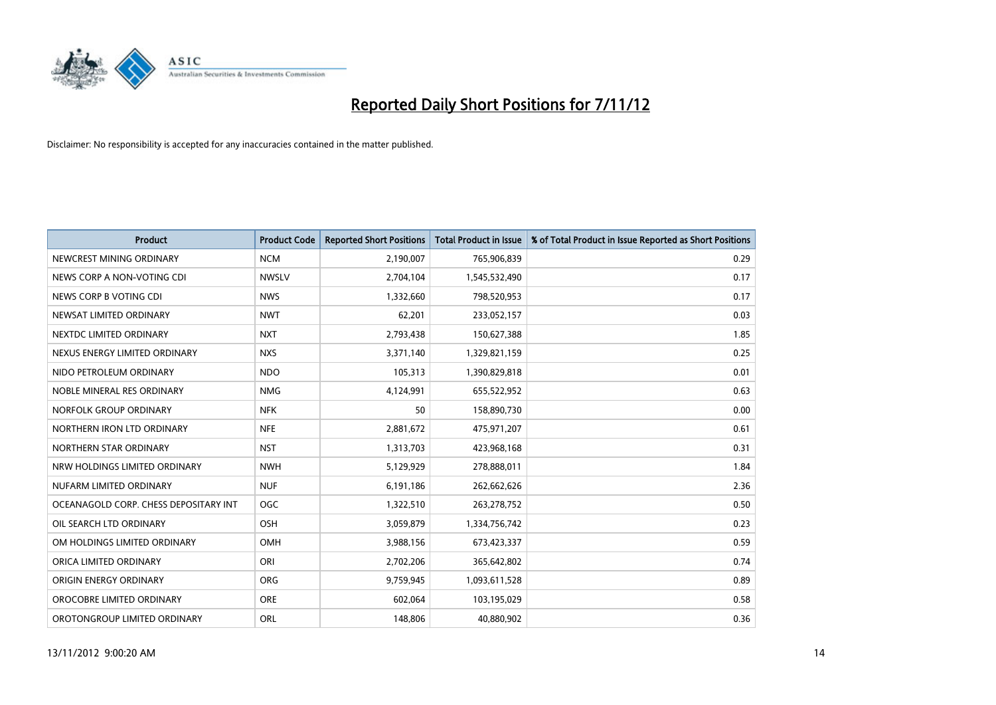

| <b>Product</b>                        | <b>Product Code</b> | <b>Reported Short Positions</b> | <b>Total Product in Issue</b> | % of Total Product in Issue Reported as Short Positions |
|---------------------------------------|---------------------|---------------------------------|-------------------------------|---------------------------------------------------------|
| NEWCREST MINING ORDINARY              | <b>NCM</b>          | 2,190,007                       | 765,906,839                   | 0.29                                                    |
| NEWS CORP A NON-VOTING CDI            | <b>NWSLV</b>        | 2,704,104                       | 1,545,532,490                 | 0.17                                                    |
| NEWS CORP B VOTING CDI                | <b>NWS</b>          | 1,332,660                       | 798,520,953                   | 0.17                                                    |
| NEWSAT LIMITED ORDINARY               | <b>NWT</b>          | 62,201                          | 233,052,157                   | 0.03                                                    |
| NEXTDC LIMITED ORDINARY               | <b>NXT</b>          | 2,793,438                       | 150,627,388                   | 1.85                                                    |
| NEXUS ENERGY LIMITED ORDINARY         | <b>NXS</b>          | 3,371,140                       | 1,329,821,159                 | 0.25                                                    |
| NIDO PETROLEUM ORDINARY               | <b>NDO</b>          | 105,313                         | 1,390,829,818                 | 0.01                                                    |
| NOBLE MINERAL RES ORDINARY            | <b>NMG</b>          | 4,124,991                       | 655,522,952                   | 0.63                                                    |
| NORFOLK GROUP ORDINARY                | <b>NFK</b>          | 50                              | 158,890,730                   | 0.00                                                    |
| NORTHERN IRON LTD ORDINARY            | <b>NFE</b>          | 2,881,672                       | 475,971,207                   | 0.61                                                    |
| NORTHERN STAR ORDINARY                | <b>NST</b>          | 1,313,703                       | 423,968,168                   | 0.31                                                    |
| NRW HOLDINGS LIMITED ORDINARY         | <b>NWH</b>          | 5,129,929                       | 278,888,011                   | 1.84                                                    |
| NUFARM LIMITED ORDINARY               | <b>NUF</b>          | 6,191,186                       | 262,662,626                   | 2.36                                                    |
| OCEANAGOLD CORP. CHESS DEPOSITARY INT | <b>OGC</b>          | 1,322,510                       | 263,278,752                   | 0.50                                                    |
| OIL SEARCH LTD ORDINARY               | OSH                 | 3,059,879                       | 1,334,756,742                 | 0.23                                                    |
| OM HOLDINGS LIMITED ORDINARY          | OMH                 | 3,988,156                       | 673,423,337                   | 0.59                                                    |
| ORICA LIMITED ORDINARY                | ORI                 | 2,702,206                       | 365,642,802                   | 0.74                                                    |
| ORIGIN ENERGY ORDINARY                | <b>ORG</b>          | 9,759,945                       | 1,093,611,528                 | 0.89                                                    |
| OROCOBRE LIMITED ORDINARY             | <b>ORE</b>          | 602,064                         | 103,195,029                   | 0.58                                                    |
| OROTONGROUP LIMITED ORDINARY          | <b>ORL</b>          | 148,806                         | 40,880,902                    | 0.36                                                    |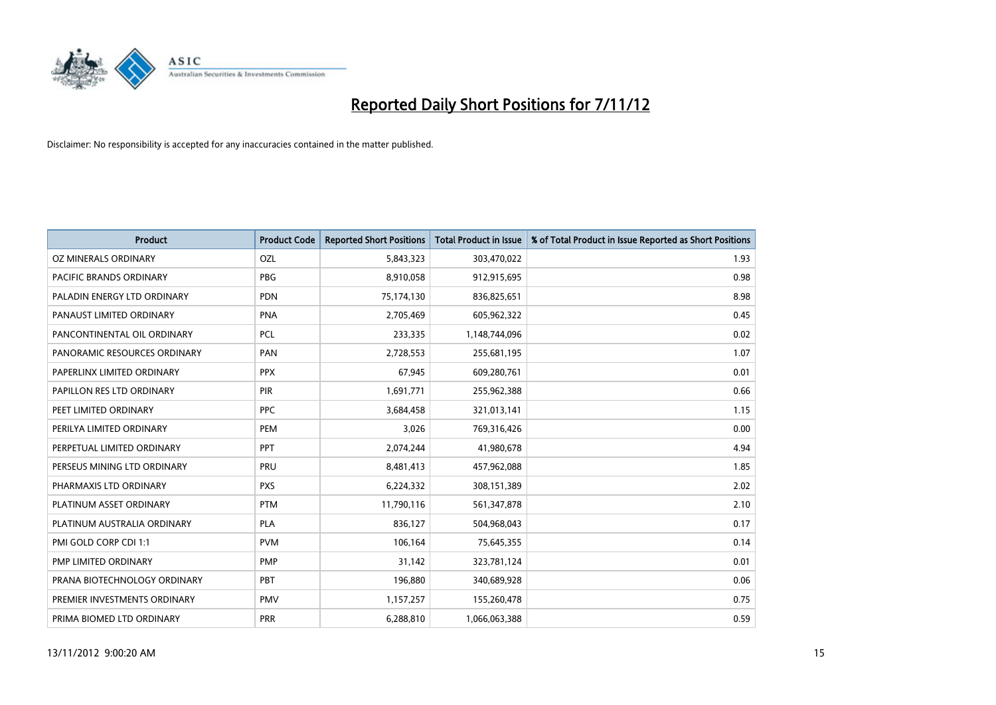

| <b>Product</b>               | <b>Product Code</b> | <b>Reported Short Positions</b> | <b>Total Product in Issue</b> | % of Total Product in Issue Reported as Short Positions |
|------------------------------|---------------------|---------------------------------|-------------------------------|---------------------------------------------------------|
| OZ MINERALS ORDINARY         | OZL                 | 5,843,323                       | 303,470,022                   | 1.93                                                    |
| PACIFIC BRANDS ORDINARY      | <b>PBG</b>          | 8,910,058                       | 912,915,695                   | 0.98                                                    |
| PALADIN ENERGY LTD ORDINARY  | <b>PDN</b>          | 75,174,130                      | 836,825,651                   | 8.98                                                    |
| PANAUST LIMITED ORDINARY     | <b>PNA</b>          | 2,705,469                       | 605,962,322                   | 0.45                                                    |
| PANCONTINENTAL OIL ORDINARY  | <b>PCL</b>          | 233,335                         | 1,148,744,096                 | 0.02                                                    |
| PANORAMIC RESOURCES ORDINARY | PAN                 | 2,728,553                       | 255,681,195                   | 1.07                                                    |
| PAPERLINX LIMITED ORDINARY   | <b>PPX</b>          | 67,945                          | 609,280,761                   | 0.01                                                    |
| PAPILLON RES LTD ORDINARY    | PIR                 | 1,691,771                       | 255,962,388                   | 0.66                                                    |
| PEET LIMITED ORDINARY        | <b>PPC</b>          | 3,684,458                       | 321,013,141                   | 1.15                                                    |
| PERILYA LIMITED ORDINARY     | PEM                 | 3,026                           | 769,316,426                   | 0.00                                                    |
| PERPETUAL LIMITED ORDINARY   | <b>PPT</b>          | 2,074,244                       | 41,980,678                    | 4.94                                                    |
| PERSEUS MINING LTD ORDINARY  | PRU                 | 8,481,413                       | 457,962,088                   | 1.85                                                    |
| PHARMAXIS LTD ORDINARY       | <b>PXS</b>          | 6,224,332                       | 308,151,389                   | 2.02                                                    |
| PLATINUM ASSET ORDINARY      | <b>PTM</b>          | 11,790,116                      | 561,347,878                   | 2.10                                                    |
| PLATINUM AUSTRALIA ORDINARY  | PLA                 | 836,127                         | 504,968,043                   | 0.17                                                    |
| PMI GOLD CORP CDI 1:1        | <b>PVM</b>          | 106,164                         | 75,645,355                    | 0.14                                                    |
| PMP LIMITED ORDINARY         | <b>PMP</b>          | 31,142                          | 323,781,124                   | 0.01                                                    |
| PRANA BIOTECHNOLOGY ORDINARY | PBT                 | 196,880                         | 340,689,928                   | 0.06                                                    |
| PREMIER INVESTMENTS ORDINARY | <b>PMV</b>          | 1,157,257                       | 155,260,478                   | 0.75                                                    |
| PRIMA BIOMED LTD ORDINARY    | <b>PRR</b>          | 6,288,810                       | 1,066,063,388                 | 0.59                                                    |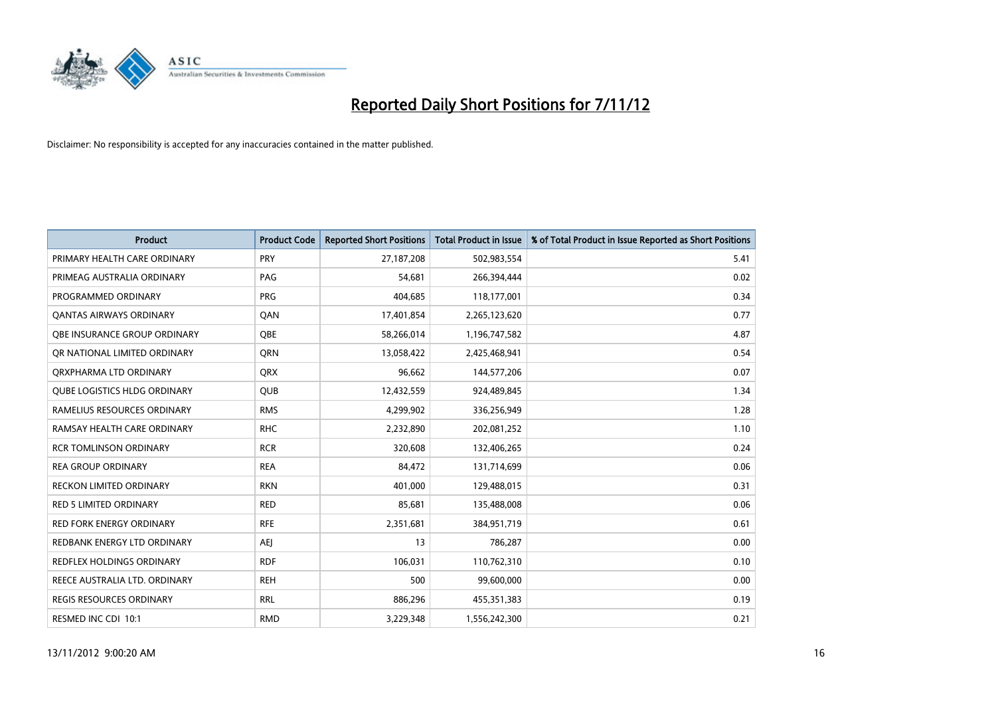

| <b>Product</b>                      | <b>Product Code</b> | <b>Reported Short Positions</b> | <b>Total Product in Issue</b> | % of Total Product in Issue Reported as Short Positions |
|-------------------------------------|---------------------|---------------------------------|-------------------------------|---------------------------------------------------------|
| PRIMARY HEALTH CARE ORDINARY        | <b>PRY</b>          | 27,187,208                      | 502,983,554                   | 5.41                                                    |
| PRIMEAG AUSTRALIA ORDINARY          | PAG                 | 54,681                          | 266,394,444                   | 0.02                                                    |
| PROGRAMMED ORDINARY                 | <b>PRG</b>          | 404,685                         | 118,177,001                   | 0.34                                                    |
| <b>QANTAS AIRWAYS ORDINARY</b>      | QAN                 | 17,401,854                      | 2,265,123,620                 | 0.77                                                    |
| OBE INSURANCE GROUP ORDINARY        | OBE                 | 58,266,014                      | 1,196,747,582                 | 4.87                                                    |
| OR NATIONAL LIMITED ORDINARY        | <b>ORN</b>          | 13,058,422                      | 2,425,468,941                 | 0.54                                                    |
| ORXPHARMA LTD ORDINARY              | <b>ORX</b>          | 96.662                          | 144,577,206                   | 0.07                                                    |
| <b>QUBE LOGISTICS HLDG ORDINARY</b> | <b>QUB</b>          | 12,432,559                      | 924,489,845                   | 1.34                                                    |
| RAMELIUS RESOURCES ORDINARY         | <b>RMS</b>          | 4,299,902                       | 336,256,949                   | 1.28                                                    |
| RAMSAY HEALTH CARE ORDINARY         | <b>RHC</b>          | 2,232,890                       | 202,081,252                   | 1.10                                                    |
| <b>RCR TOMLINSON ORDINARY</b>       | <b>RCR</b>          | 320.608                         | 132,406,265                   | 0.24                                                    |
| <b>REA GROUP ORDINARY</b>           | <b>REA</b>          | 84,472                          | 131,714,699                   | 0.06                                                    |
| <b>RECKON LIMITED ORDINARY</b>      | <b>RKN</b>          | 401.000                         | 129,488,015                   | 0.31                                                    |
| <b>RED 5 LIMITED ORDINARY</b>       | <b>RED</b>          | 85.681                          | 135,488,008                   | 0.06                                                    |
| <b>RED FORK ENERGY ORDINARY</b>     | <b>RFE</b>          | 2,351,681                       | 384,951,719                   | 0.61                                                    |
| REDBANK ENERGY LTD ORDINARY         | <b>AEI</b>          | 13                              | 786,287                       | 0.00                                                    |
| <b>REDFLEX HOLDINGS ORDINARY</b>    | <b>RDF</b>          | 106,031                         | 110,762,310                   | 0.10                                                    |
| REECE AUSTRALIA LTD. ORDINARY       | <b>REH</b>          | 500                             | 99,600,000                    | 0.00                                                    |
| <b>REGIS RESOURCES ORDINARY</b>     | <b>RRL</b>          | 886,296                         | 455,351,383                   | 0.19                                                    |
| RESMED INC CDI 10:1                 | <b>RMD</b>          | 3,229,348                       | 1,556,242,300                 | 0.21                                                    |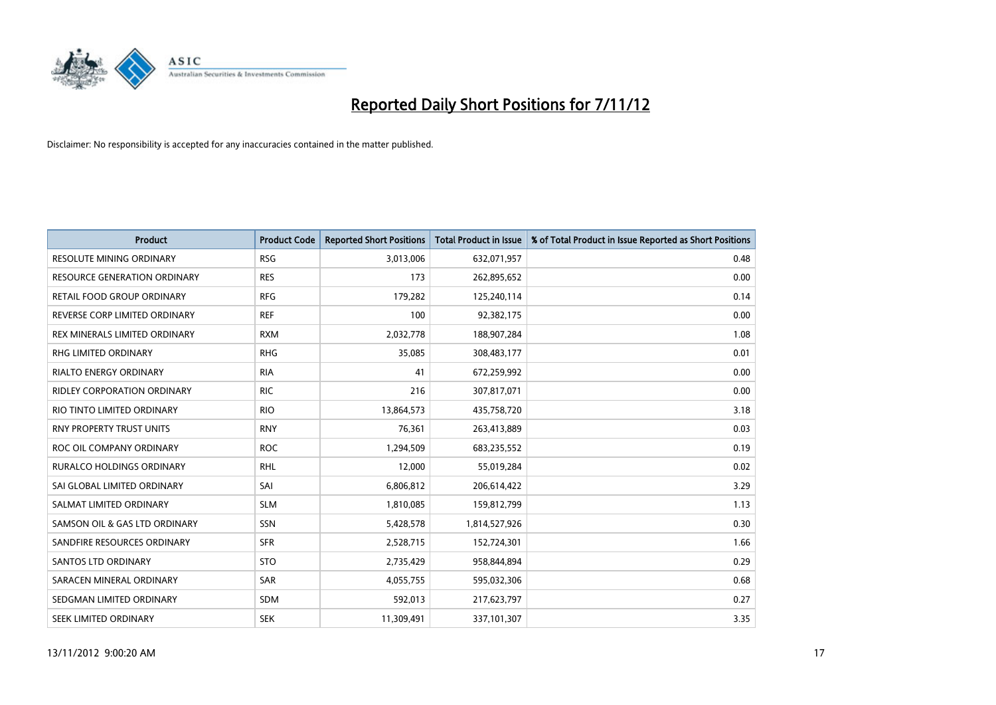

| <b>Product</b>                  | <b>Product Code</b> | <b>Reported Short Positions</b> | <b>Total Product in Issue</b> | % of Total Product in Issue Reported as Short Positions |
|---------------------------------|---------------------|---------------------------------|-------------------------------|---------------------------------------------------------|
| <b>RESOLUTE MINING ORDINARY</b> | <b>RSG</b>          | 3,013,006                       | 632,071,957                   | 0.48                                                    |
| RESOURCE GENERATION ORDINARY    | <b>RES</b>          | 173                             | 262,895,652                   | 0.00                                                    |
| RETAIL FOOD GROUP ORDINARY      | <b>RFG</b>          | 179,282                         | 125,240,114                   | 0.14                                                    |
| REVERSE CORP LIMITED ORDINARY   | <b>REF</b>          | 100                             | 92,382,175                    | 0.00                                                    |
| REX MINERALS LIMITED ORDINARY   | <b>RXM</b>          | 2,032,778                       | 188,907,284                   | 1.08                                                    |
| <b>RHG LIMITED ORDINARY</b>     | <b>RHG</b>          | 35,085                          | 308,483,177                   | 0.01                                                    |
| <b>RIALTO ENERGY ORDINARY</b>   | <b>RIA</b>          | 41                              | 672,259,992                   | 0.00                                                    |
| RIDLEY CORPORATION ORDINARY     | <b>RIC</b>          | 216                             | 307,817,071                   | 0.00                                                    |
| RIO TINTO LIMITED ORDINARY      | <b>RIO</b>          | 13,864,573                      | 435,758,720                   | 3.18                                                    |
| <b>RNY PROPERTY TRUST UNITS</b> | <b>RNY</b>          | 76,361                          | 263,413,889                   | 0.03                                                    |
| ROC OIL COMPANY ORDINARY        | <b>ROC</b>          | 1,294,509                       | 683,235,552                   | 0.19                                                    |
| RURALCO HOLDINGS ORDINARY       | <b>RHL</b>          | 12,000                          | 55,019,284                    | 0.02                                                    |
| SAI GLOBAL LIMITED ORDINARY     | SAI                 | 6,806,812                       | 206,614,422                   | 3.29                                                    |
| SALMAT LIMITED ORDINARY         | <b>SLM</b>          | 1,810,085                       | 159,812,799                   | 1.13                                                    |
| SAMSON OIL & GAS LTD ORDINARY   | SSN                 | 5,428,578                       | 1,814,527,926                 | 0.30                                                    |
| SANDFIRE RESOURCES ORDINARY     | <b>SFR</b>          | 2,528,715                       | 152,724,301                   | 1.66                                                    |
| <b>SANTOS LTD ORDINARY</b>      | <b>STO</b>          | 2,735,429                       | 958,844,894                   | 0.29                                                    |
| SARACEN MINERAL ORDINARY        | <b>SAR</b>          | 4,055,755                       | 595,032,306                   | 0.68                                                    |
| SEDGMAN LIMITED ORDINARY        | <b>SDM</b>          | 592,013                         | 217,623,797                   | 0.27                                                    |
| SEEK LIMITED ORDINARY           | <b>SEK</b>          | 11,309,491                      | 337,101,307                   | 3.35                                                    |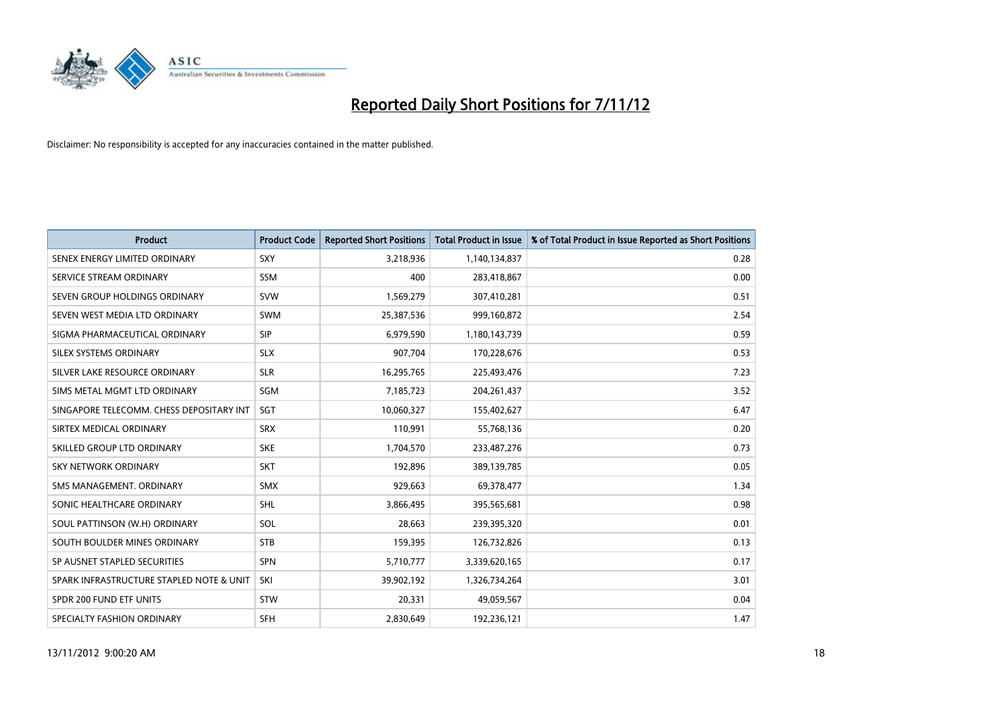

| <b>Product</b>                           | <b>Product Code</b> | <b>Reported Short Positions</b> | <b>Total Product in Issue</b> | % of Total Product in Issue Reported as Short Positions |
|------------------------------------------|---------------------|---------------------------------|-------------------------------|---------------------------------------------------------|
| SENEX ENERGY LIMITED ORDINARY            | <b>SXY</b>          | 3,218,936                       | 1,140,134,837                 | 0.28                                                    |
| SERVICE STREAM ORDINARY                  | <b>SSM</b>          | 400                             | 283,418,867                   | 0.00                                                    |
| SEVEN GROUP HOLDINGS ORDINARY            | <b>SVW</b>          | 1,569,279                       | 307,410,281                   | 0.51                                                    |
| SEVEN WEST MEDIA LTD ORDINARY            | <b>SWM</b>          | 25,387,536                      | 999,160,872                   | 2.54                                                    |
| SIGMA PHARMACEUTICAL ORDINARY            | <b>SIP</b>          | 6,979,590                       | 1,180,143,739                 | 0.59                                                    |
| SILEX SYSTEMS ORDINARY                   | <b>SLX</b>          | 907,704                         | 170,228,676                   | 0.53                                                    |
| SILVER LAKE RESOURCE ORDINARY            | <b>SLR</b>          | 16,295,765                      | 225,493,476                   | 7.23                                                    |
| SIMS METAL MGMT LTD ORDINARY             | SGM                 | 7,185,723                       | 204, 261, 437                 | 3.52                                                    |
| SINGAPORE TELECOMM. CHESS DEPOSITARY INT | <b>SGT</b>          | 10,060,327                      | 155,402,627                   | 6.47                                                    |
| SIRTEX MEDICAL ORDINARY                  | <b>SRX</b>          | 110,991                         | 55,768,136                    | 0.20                                                    |
| SKILLED GROUP LTD ORDINARY               | <b>SKE</b>          | 1,704,570                       | 233,487,276                   | 0.73                                                    |
| <b>SKY NETWORK ORDINARY</b>              | <b>SKT</b>          | 192,896                         | 389,139,785                   | 0.05                                                    |
| SMS MANAGEMENT, ORDINARY                 | <b>SMX</b>          | 929,663                         | 69,378,477                    | 1.34                                                    |
| SONIC HEALTHCARE ORDINARY                | <b>SHL</b>          | 3,866,495                       | 395,565,681                   | 0.98                                                    |
| SOUL PATTINSON (W.H) ORDINARY            | SOL                 | 28,663                          | 239,395,320                   | 0.01                                                    |
| SOUTH BOULDER MINES ORDINARY             | <b>STB</b>          | 159,395                         | 126,732,826                   | 0.13                                                    |
| SP AUSNET STAPLED SECURITIES             | <b>SPN</b>          | 5,710,777                       | 3,339,620,165                 | 0.17                                                    |
| SPARK INFRASTRUCTURE STAPLED NOTE & UNIT | <b>SKI</b>          | 39,902,192                      | 1,326,734,264                 | 3.01                                                    |
| SPDR 200 FUND ETF UNITS                  | <b>STW</b>          | 20,331                          | 49,059,567                    | 0.04                                                    |
| SPECIALTY FASHION ORDINARY               | <b>SFH</b>          | 2,830,649                       | 192,236,121                   | 1.47                                                    |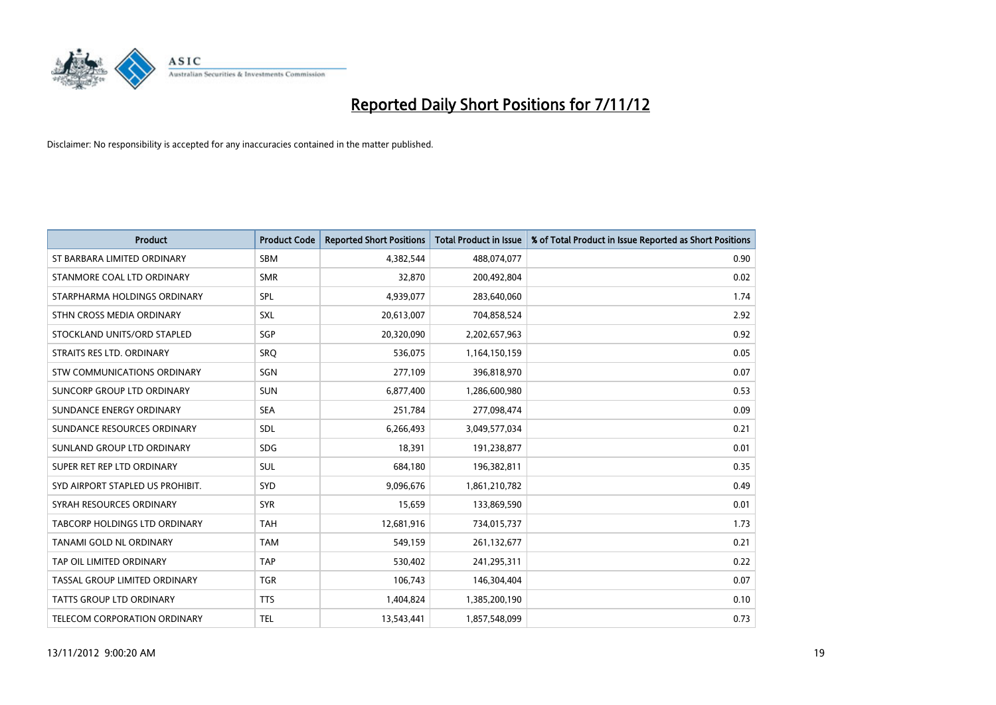

| <b>Product</b>                   | <b>Product Code</b> | <b>Reported Short Positions</b> | <b>Total Product in Issue</b> | % of Total Product in Issue Reported as Short Positions |
|----------------------------------|---------------------|---------------------------------|-------------------------------|---------------------------------------------------------|
| ST BARBARA LIMITED ORDINARY      | <b>SBM</b>          | 4,382,544                       | 488,074,077                   | 0.90                                                    |
| STANMORE COAL LTD ORDINARY       | <b>SMR</b>          | 32,870                          | 200,492,804                   | 0.02                                                    |
| STARPHARMA HOLDINGS ORDINARY     | SPL                 | 4,939,077                       | 283,640,060                   | 1.74                                                    |
| STHN CROSS MEDIA ORDINARY        | SXL                 | 20,613,007                      | 704,858,524                   | 2.92                                                    |
| STOCKLAND UNITS/ORD STAPLED      | SGP                 | 20,320,090                      | 2,202,657,963                 | 0.92                                                    |
| STRAITS RES LTD. ORDINARY        | SRQ                 | 536,075                         | 1,164,150,159                 | 0.05                                                    |
| STW COMMUNICATIONS ORDINARY      | SGN                 | 277,109                         | 396,818,970                   | 0.07                                                    |
| SUNCORP GROUP LTD ORDINARY       | <b>SUN</b>          | 6,877,400                       | 1,286,600,980                 | 0.53                                                    |
| SUNDANCE ENERGY ORDINARY         | <b>SEA</b>          | 251,784                         | 277,098,474                   | 0.09                                                    |
| SUNDANCE RESOURCES ORDINARY      | <b>SDL</b>          | 6,266,493                       | 3,049,577,034                 | 0.21                                                    |
| SUNLAND GROUP LTD ORDINARY       | <b>SDG</b>          | 18,391                          | 191,238,877                   | 0.01                                                    |
| SUPER RET REP LTD ORDINARY       | <b>SUL</b>          | 684,180                         | 196,382,811                   | 0.35                                                    |
| SYD AIRPORT STAPLED US PROHIBIT. | <b>SYD</b>          | 9,096,676                       | 1,861,210,782                 | 0.49                                                    |
| SYRAH RESOURCES ORDINARY         | <b>SYR</b>          | 15,659                          | 133,869,590                   | 0.01                                                    |
| TABCORP HOLDINGS LTD ORDINARY    | <b>TAH</b>          | 12,681,916                      | 734,015,737                   | 1.73                                                    |
| TANAMI GOLD NL ORDINARY          | <b>TAM</b>          | 549,159                         | 261,132,677                   | 0.21                                                    |
| TAP OIL LIMITED ORDINARY         | <b>TAP</b>          | 530,402                         | 241,295,311                   | 0.22                                                    |
| TASSAL GROUP LIMITED ORDINARY    | <b>TGR</b>          | 106,743                         | 146,304,404                   | 0.07                                                    |
| <b>TATTS GROUP LTD ORDINARY</b>  | <b>TTS</b>          | 1,404,824                       | 1,385,200,190                 | 0.10                                                    |
| TELECOM CORPORATION ORDINARY     | <b>TEL</b>          | 13,543,441                      | 1,857,548,099                 | 0.73                                                    |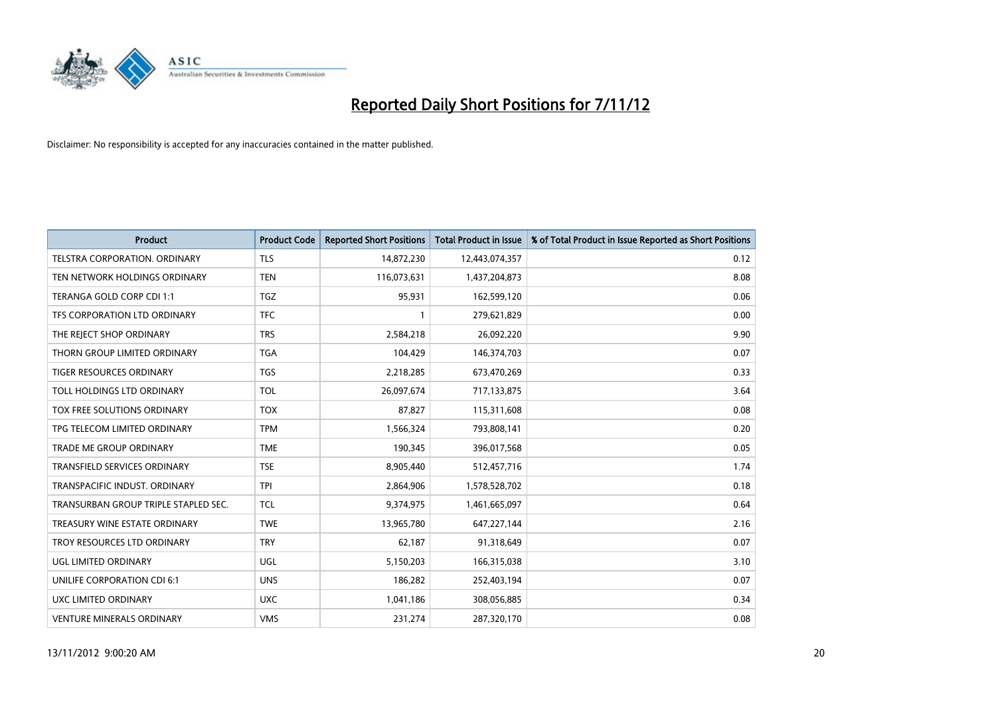

| <b>Product</b>                       | <b>Product Code</b> | <b>Reported Short Positions</b> | <b>Total Product in Issue</b> | % of Total Product in Issue Reported as Short Positions |
|--------------------------------------|---------------------|---------------------------------|-------------------------------|---------------------------------------------------------|
| <b>TELSTRA CORPORATION, ORDINARY</b> | <b>TLS</b>          | 14,872,230                      | 12,443,074,357                | 0.12                                                    |
| TEN NETWORK HOLDINGS ORDINARY        | <b>TEN</b>          | 116,073,631                     | 1,437,204,873                 | 8.08                                                    |
| TERANGA GOLD CORP CDI 1:1            | <b>TGZ</b>          | 95,931                          | 162,599,120                   | 0.06                                                    |
| TFS CORPORATION LTD ORDINARY         | <b>TFC</b>          |                                 | 279,621,829                   | 0.00                                                    |
| THE REJECT SHOP ORDINARY             | <b>TRS</b>          | 2,584,218                       | 26,092,220                    | 9.90                                                    |
| THORN GROUP LIMITED ORDINARY         | <b>TGA</b>          | 104,429                         | 146,374,703                   | 0.07                                                    |
| TIGER RESOURCES ORDINARY             | <b>TGS</b>          | 2,218,285                       | 673,470,269                   | 0.33                                                    |
| TOLL HOLDINGS LTD ORDINARY           | <b>TOL</b>          | 26,097,674                      | 717,133,875                   | 3.64                                                    |
| TOX FREE SOLUTIONS ORDINARY          | <b>TOX</b>          | 87,827                          | 115,311,608                   | 0.08                                                    |
| TPG TELECOM LIMITED ORDINARY         | <b>TPM</b>          | 1,566,324                       | 793,808,141                   | 0.20                                                    |
| TRADE ME GROUP ORDINARY              | <b>TME</b>          | 190,345                         | 396,017,568                   | 0.05                                                    |
| TRANSFIELD SERVICES ORDINARY         | <b>TSE</b>          | 8,905,440                       | 512,457,716                   | 1.74                                                    |
| TRANSPACIFIC INDUST, ORDINARY        | <b>TPI</b>          | 2,864,906                       | 1,578,528,702                 | 0.18                                                    |
| TRANSURBAN GROUP TRIPLE STAPLED SEC. | <b>TCL</b>          | 9,374,975                       | 1,461,665,097                 | 0.64                                                    |
| TREASURY WINE ESTATE ORDINARY        | <b>TWE</b>          | 13,965,780                      | 647,227,144                   | 2.16                                                    |
| TROY RESOURCES LTD ORDINARY          | <b>TRY</b>          | 62,187                          | 91,318,649                    | 0.07                                                    |
| UGL LIMITED ORDINARY                 | UGL                 | 5,150,203                       | 166,315,038                   | 3.10                                                    |
| UNILIFE CORPORATION CDI 6:1          | <b>UNS</b>          | 186,282                         | 252,403,194                   | 0.07                                                    |
| UXC LIMITED ORDINARY                 | <b>UXC</b>          | 1,041,186                       | 308,056,885                   | 0.34                                                    |
| <b>VENTURE MINERALS ORDINARY</b>     | <b>VMS</b>          | 231,274                         | 287,320,170                   | 0.08                                                    |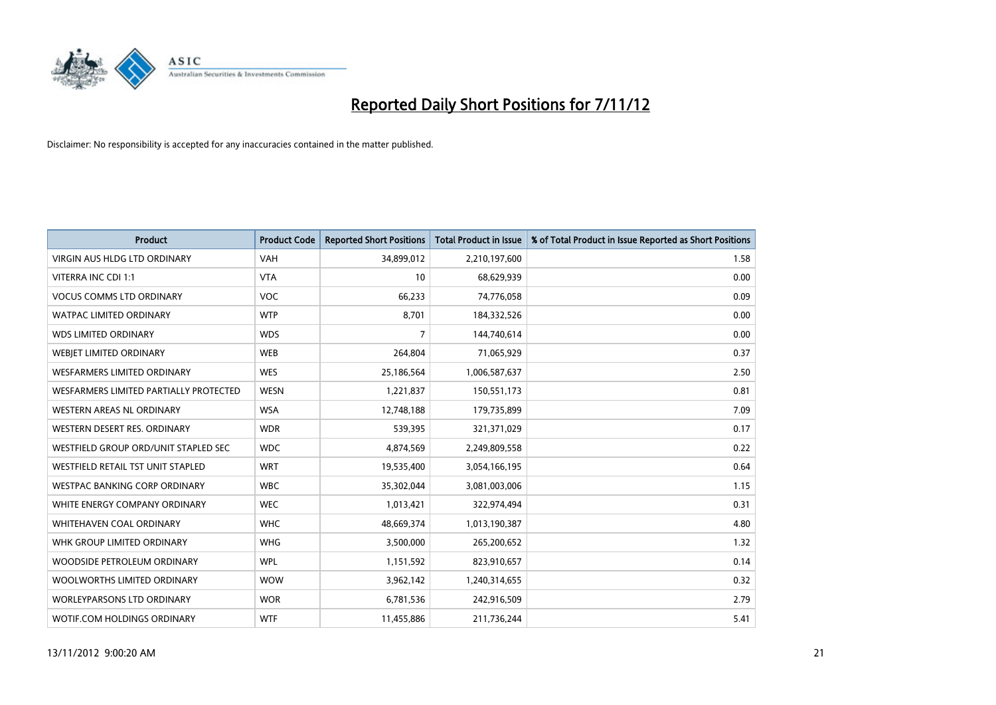

| <b>Product</b>                         | <b>Product Code</b> | <b>Reported Short Positions</b> | <b>Total Product in Issue</b> | % of Total Product in Issue Reported as Short Positions |
|----------------------------------------|---------------------|---------------------------------|-------------------------------|---------------------------------------------------------|
| <b>VIRGIN AUS HLDG LTD ORDINARY</b>    | <b>VAH</b>          | 34,899,012                      | 2,210,197,600                 | 1.58                                                    |
| VITERRA INC CDI 1:1                    | <b>VTA</b>          | 10                              | 68,629,939                    | 0.00                                                    |
| <b>VOCUS COMMS LTD ORDINARY</b>        | <b>VOC</b>          | 66,233                          | 74,776,058                    | 0.09                                                    |
| WATPAC LIMITED ORDINARY                | <b>WTP</b>          | 8,701                           | 184,332,526                   | 0.00                                                    |
| <b>WDS LIMITED ORDINARY</b>            | <b>WDS</b>          | 7                               | 144,740,614                   | 0.00                                                    |
| WEBIET LIMITED ORDINARY                | <b>WEB</b>          | 264,804                         | 71,065,929                    | 0.37                                                    |
| <b>WESFARMERS LIMITED ORDINARY</b>     | <b>WES</b>          | 25,186,564                      | 1,006,587,637                 | 2.50                                                    |
| WESFARMERS LIMITED PARTIALLY PROTECTED | <b>WESN</b>         | 1,221,837                       | 150,551,173                   | 0.81                                                    |
| <b>WESTERN AREAS NL ORDINARY</b>       | <b>WSA</b>          | 12,748,188                      | 179,735,899                   | 7.09                                                    |
| WESTERN DESERT RES. ORDINARY           | <b>WDR</b>          | 539,395                         | 321,371,029                   | 0.17                                                    |
| WESTFIELD GROUP ORD/UNIT STAPLED SEC   | <b>WDC</b>          | 4,874,569                       | 2,249,809,558                 | 0.22                                                    |
| WESTFIELD RETAIL TST UNIT STAPLED      | <b>WRT</b>          | 19,535,400                      | 3,054,166,195                 | 0.64                                                    |
| WESTPAC BANKING CORP ORDINARY          | <b>WBC</b>          | 35,302,044                      | 3,081,003,006                 | 1.15                                                    |
| WHITE ENERGY COMPANY ORDINARY          | <b>WEC</b>          | 1,013,421                       | 322,974,494                   | 0.31                                                    |
| <b>WHITEHAVEN COAL ORDINARY</b>        | <b>WHC</b>          | 48,669,374                      | 1,013,190,387                 | 4.80                                                    |
| WHK GROUP LIMITED ORDINARY             | <b>WHG</b>          | 3,500,000                       | 265,200,652                   | 1.32                                                    |
| WOODSIDE PETROLEUM ORDINARY            | <b>WPL</b>          | 1,151,592                       | 823,910,657                   | 0.14                                                    |
| WOOLWORTHS LIMITED ORDINARY            | <b>WOW</b>          | 3,962,142                       | 1,240,314,655                 | 0.32                                                    |
| <b>WORLEYPARSONS LTD ORDINARY</b>      | <b>WOR</b>          | 6,781,536                       | 242,916,509                   | 2.79                                                    |
| WOTIF.COM HOLDINGS ORDINARY            | <b>WTF</b>          | 11,455,886                      | 211,736,244                   | 5.41                                                    |